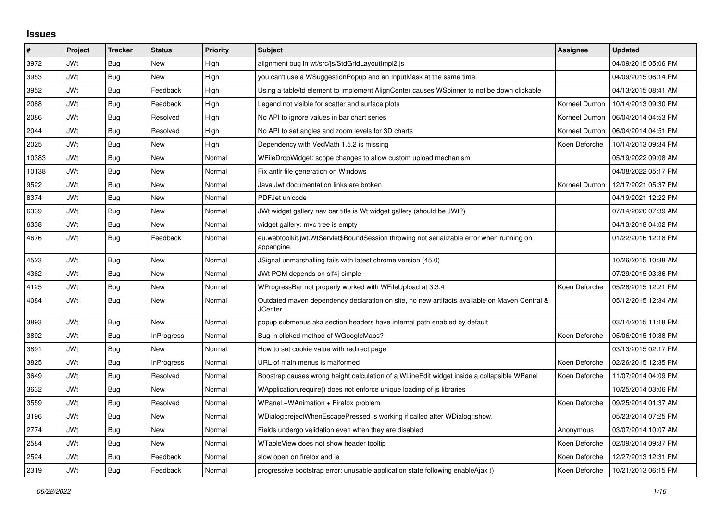## **Issues**

| #     | Project    | <b>Tracker</b> | <b>Status</b>     | <b>Priority</b> | <b>Subject</b>                                                                                          | Assignee      | <b>Updated</b>      |
|-------|------------|----------------|-------------------|-----------------|---------------------------------------------------------------------------------------------------------|---------------|---------------------|
| 3972  | JWt        | Bug            | <b>New</b>        | High            | alignment bug in wt/src/js/StdGridLayoutImpl2.js                                                        |               | 04/09/2015 05:06 PM |
| 3953  | <b>JWt</b> | Bug            | <b>New</b>        | High            | you can't use a WSuggestionPopup and an InputMask at the same time.                                     |               | 04/09/2015 06:14 PM |
| 3952  | JWt        | Bug            | Feedback          | High            | Using a table/td element to implement AlignCenter causes WSpinner to not be down clickable              |               | 04/13/2015 08:41 AM |
| 2088  | JWt        | Bug            | Feedback          | High            | Legend not visible for scatter and surface plots                                                        | Korneel Dumon | 10/14/2013 09:30 PM |
| 2086  | <b>JWt</b> | <b>Bug</b>     | Resolved          | High            | No API to ignore values in bar chart series                                                             | Korneel Dumon | 06/04/2014 04:53 PM |
| 2044  | <b>JWt</b> | Bug            | Resolved          | High            | No API to set angles and zoom levels for 3D charts                                                      | Korneel Dumon | 06/04/2014 04:51 PM |
| 2025  | JWt        | Bug            | <b>New</b>        | High            | Dependency with VecMath 1.5.2 is missing                                                                | Koen Deforche | 10/14/2013 09:34 PM |
| 10383 | <b>JWt</b> | <b>Bug</b>     | <b>New</b>        | Normal          | WFileDropWidget: scope changes to allow custom upload mechanism                                         |               | 05/19/2022 09:08 AM |
| 10138 | <b>JWt</b> | Bug            | <b>New</b>        | Normal          | Fix antlr file generation on Windows                                                                    |               | 04/08/2022 05:17 PM |
| 9522  | <b>JWt</b> | <b>Bug</b>     | <b>New</b>        | Normal          | Java Jwt documentation links are broken                                                                 | Korneel Dumon | 12/17/2021 05:37 PM |
| 8374  | JWt        | Bug            | <b>New</b>        | Normal          | PDFJet unicode                                                                                          |               | 04/19/2021 12:22 PM |
| 6339  | <b>JWt</b> | Bug            | <b>New</b>        | Normal          | JWt widget gallery nav bar title is Wt widget gallery (should be JWt?)                                  |               | 07/14/2020 07:39 AM |
| 6338  | JWt        | <b>Bug</b>     | <b>New</b>        | Normal          | widget gallery: mvc tree is empty                                                                       |               | 04/13/2018 04:02 PM |
| 4676  | <b>JWt</b> | <b>Bug</b>     | Feedback          | Normal          | eu.webtoolkit.jwt.WtServlet\$BoundSession throwing not serializable error when running on<br>appengine. |               | 01/22/2016 12:18 PM |
| 4523  | JWt        | Bug            | <b>New</b>        | Normal          | JSignal unmarshalling fails with latest chrome version (45.0)                                           |               | 10/26/2015 10:38 AM |
| 4362  | <b>JWt</b> | Bug            | <b>New</b>        | Normal          | JWt POM depends on slf4j-simple                                                                         |               | 07/29/2015 03:36 PM |
| 4125  | <b>JWt</b> | Bug            | <b>New</b>        | Normal          | WProgressBar not properly worked with WFileUpload at 3.3.4                                              | Koen Deforche | 05/28/2015 12:21 PM |
| 4084  | JWt        | Bug            | <b>New</b>        | Normal          | Outdated maven dependency declaration on site, no new artifacts available on Maven Central &<br>JCenter |               | 05/12/2015 12:34 AM |
| 3893  | JWt        | <b>Bug</b>     | <b>New</b>        | Normal          | popup submenus aka section headers have internal path enabled by default                                |               | 03/14/2015 11:18 PM |
| 3892  | <b>JWt</b> | Bug            | <b>InProgress</b> | Normal          | Bug in clicked method of WGoogleMaps?                                                                   | Koen Deforche | 05/06/2015 10:38 PM |
| 3891  | <b>JWt</b> | Bug            | New               | Normal          | How to set cookie value with redirect page                                                              |               | 03/13/2015 02:17 PM |
| 3825  | JWt        | Bug            | <b>InProgress</b> | Normal          | URL of main menus is malformed                                                                          | Koen Deforche | 02/26/2015 12:35 PM |
| 3649  | JWt        | Bug            | Resolved          | Normal          | Boostrap causes wrong height calculation of a WLineEdit widget inside a collapsible WPanel              | Koen Deforche | 11/07/2014 04:09 PM |
| 3632  | <b>JWt</b> | <b>Bug</b>     | New               | Normal          | WApplication.require() does not enforce unique loading of is libraries                                  |               | 10/25/2014 03:06 PM |
| 3559  | JWt        | Bug            | Resolved          | Normal          | WPanel +WAnimation + Firefox problem                                                                    | Koen Deforche | 09/25/2014 01:37 AM |
| 3196  | JWt        | Bug            | <b>New</b>        | Normal          | WDialog::rejectWhenEscapePressed is working if called after WDialog::show.                              |               | 05/23/2014 07:25 PM |
| 2774  | <b>JWt</b> | <b>Bug</b>     | <b>New</b>        | Normal          | Fields undergo validation even when they are disabled                                                   | Anonymous     | 03/07/2014 10:07 AM |
| 2584  | JWt        | Bug            | New               | Normal          | WTableView does not show header tooltip                                                                 | Koen Deforche | 02/09/2014 09:37 PM |
| 2524  | JWt        | <b>Bug</b>     | Feedback          | Normal          | slow open on firefox and ie                                                                             | Koen Deforche | 12/27/2013 12:31 PM |
| 2319  | <b>JWt</b> | <b>Bug</b>     | Feedback          | Normal          | progressive bootstrap error: unusable application state following enableAjax ()                         | Koen Deforche | 10/21/2013 06:15 PM |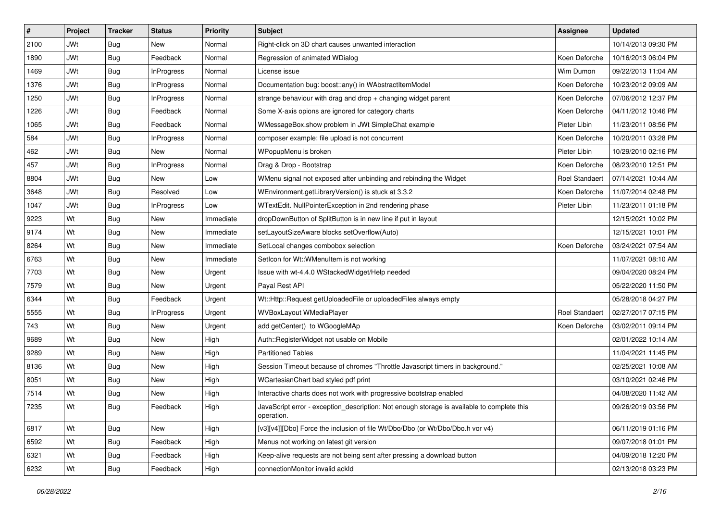| #    | Project    | <b>Tracker</b> | <b>Status</b>     | <b>Priority</b> | <b>Subject</b>                                                                                           | <b>Assignee</b>       | <b>Updated</b>      |
|------|------------|----------------|-------------------|-----------------|----------------------------------------------------------------------------------------------------------|-----------------------|---------------------|
| 2100 | <b>JWt</b> | Bug            | New               | Normal          | Right-click on 3D chart causes unwanted interaction                                                      |                       | 10/14/2013 09:30 PM |
| 1890 | <b>JWt</b> | Bug            | Feedback          | Normal          | Regression of animated WDialog                                                                           | Koen Deforche         | 10/16/2013 06:04 PM |
| 1469 | <b>JWt</b> | Bug            | InProgress        | Normal          | License issue                                                                                            | Wim Dumon             | 09/22/2013 11:04 AM |
| 1376 | <b>JWt</b> | Bug            | <b>InProgress</b> | Normal          | Documentation bug: boost::any() in WAbstractItemModel                                                    | Koen Deforche         | 10/23/2012 09:09 AM |
| 1250 | <b>JWt</b> | Bug            | InProgress        | Normal          | strange behaviour with drag and drop + changing widget parent                                            | Koen Deforche         | 07/06/2012 12:37 PM |
| 1226 | <b>JWt</b> | Bug            | Feedback          | Normal          | Some X-axis opions are ignored for category charts                                                       | Koen Deforche         | 04/11/2012 10:46 PM |
| 1065 | <b>JWt</b> | Bug            | Feedback          | Normal          | WMessageBox.show problem in JWt SimpleChat example                                                       | Pieter Libin          | 11/23/2011 08:56 PM |
| 584  | <b>JWt</b> | Bug            | InProgress        | Normal          | composer example: file upload is not concurrent                                                          | Koen Deforche         | 10/20/2011 03:28 PM |
| 462  | <b>JWt</b> | Bug            | New               | Normal          | WPopupMenu is broken                                                                                     | Pieter Libin          | 10/29/2010 02:16 PM |
| 457  | <b>JWt</b> | Bug            | <b>InProgress</b> | Normal          | Drag & Drop - Bootstrap                                                                                  | Koen Deforche         | 08/23/2010 12:51 PM |
| 8804 | <b>JWt</b> | Bug            | New               | Low             | WMenu signal not exposed after unbinding and rebinding the Widget                                        | <b>Roel Standaert</b> | 07/14/2021 10:44 AM |
| 3648 | <b>JWt</b> | Bug            | Resolved          | Low             | WEnvironment.getLibraryVersion() is stuck at 3.3.2                                                       | Koen Deforche         | 11/07/2014 02:48 PM |
| 1047 | <b>JWt</b> | Bug            | <b>InProgress</b> | Low             | WTextEdit. NullPointerException in 2nd rendering phase                                                   | Pieter Libin          | 11/23/2011 01:18 PM |
| 9223 | Wt         | Bug            | New               | Immediate       | dropDownButton of SplitButton is in new line if put in layout                                            |                       | 12/15/2021 10:02 PM |
| 9174 | Wt         | Bug            | <b>New</b>        | Immediate       | setLayoutSizeAware blocks setOverflow(Auto)                                                              |                       | 12/15/2021 10:01 PM |
| 8264 | Wt         | Bug            | New               | Immediate       | SetLocal changes combobox selection                                                                      | Koen Deforche         | 03/24/2021 07:54 AM |
| 6763 | Wt         | Bug            | <b>New</b>        | Immediate       | SetIcon for Wt:: WMenuItem is not working                                                                |                       | 11/07/2021 08:10 AM |
| 7703 | Wt         | Bug            | New               | Urgent          | Issue with wt-4.4.0 WStackedWidget/Help needed                                                           |                       | 09/04/2020 08:24 PM |
| 7579 | Wt         | <b>Bug</b>     | New               | Urgent          | Payal Rest API                                                                                           |                       | 05/22/2020 11:50 PM |
| 6344 | Wt         | Bug            | Feedback          | Urgent          | Wt::Http::Request getUploadedFile or uploadedFiles always empty                                          |                       | 05/28/2018 04:27 PM |
| 5555 | Wt         | Bug            | InProgress        | Urgent          | WVBoxLayout WMediaPlayer                                                                                 | <b>Roel Standaert</b> | 02/27/2017 07:15 PM |
| 743  | Wt         | Bug            | New               | Urgent          | add getCenter() to WGoogleMAp                                                                            | Koen Deforche         | 03/02/2011 09:14 PM |
| 9689 | Wt         | <b>Bug</b>     | New               | High            | Auth::RegisterWidget not usable on Mobile                                                                |                       | 02/01/2022 10:14 AM |
| 9289 | Wt         | <b>Bug</b>     | New               | High            | <b>Partitioned Tables</b>                                                                                |                       | 11/04/2021 11:45 PM |
| 8136 | Wt         | Bug            | New               | High            | Session Timeout because of chromes "Throttle Javascript timers in background."                           |                       | 02/25/2021 10:08 AM |
| 8051 | Wt         | Bug            | New               | High            | WCartesianChart bad styled pdf print                                                                     |                       | 03/10/2021 02:46 PM |
| 7514 | Wt         | Bug            | New               | High            | Interactive charts does not work with progressive bootstrap enabled                                      |                       | 04/08/2020 11:42 AM |
| 7235 | Wt         | Bug            | Feedback          | High            | JavaScript error - exception_description: Not enough storage is available to complete this<br>operation. |                       | 09/26/2019 03:56 PM |
| 6817 | Wt         | <b>Bug</b>     | New               | High            | [v3][v4]][Dbo] Force the inclusion of file Wt/Dbo/Dbo (or Wt/Dbo/Dbo.h vor v4)                           |                       | 06/11/2019 01:16 PM |
| 6592 | Wt         | <b>Bug</b>     | Feedback          | High            | Menus not working on latest git version                                                                  |                       | 09/07/2018 01:01 PM |
| 6321 | Wt         | <b>Bug</b>     | Feedback          | High            | Keep-alive requests are not being sent after pressing a download button                                  |                       | 04/09/2018 12:20 PM |
| 6232 | Wt         | <b>Bug</b>     | Feedback          | High            | connectionMonitor invalid ackId                                                                          |                       | 02/13/2018 03:23 PM |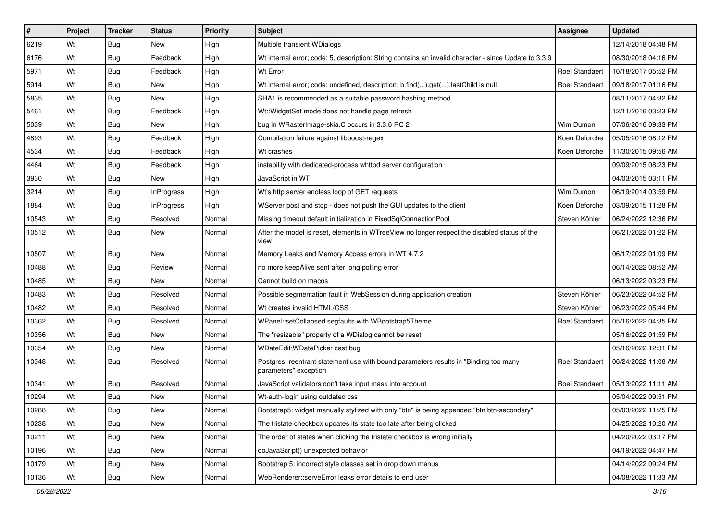| #     | Project | <b>Tracker</b> | <b>Status</b>     | <b>Priority</b> | <b>Subject</b>                                                                                                | Assignee              | <b>Updated</b>      |
|-------|---------|----------------|-------------------|-----------------|---------------------------------------------------------------------------------------------------------------|-----------------------|---------------------|
| 6219  | Wt      | <b>Bug</b>     | <b>New</b>        | High            | Multiple transient WDialogs                                                                                   |                       | 12/14/2018 04:48 PM |
| 6176  | Wt      | Bug            | Feedback          | High            | Wt internal error; code: 5, description: String contains an invalid character - since Update to 3.3.9         |                       | 08/30/2018 04:16 PM |
| 5971  | Wt      | Bug            | Feedback          | High            | Wt Error                                                                                                      | <b>Roel Standaert</b> | 10/18/2017 05:52 PM |
| 5914  | Wt      | Bug            | <b>New</b>        | High            | Wt internal error; code: undefined, description: b.find().get().lastChild is null                             | <b>Roel Standaert</b> | 09/18/2017 01:16 PM |
| 5835  | Wt      | <b>Bug</b>     | <b>New</b>        | High            | SHA1 is recommended as a suitable password hashing method                                                     |                       | 08/11/2017 04:32 PM |
| 5461  | Wt      | Bug            | Feedback          | High            | Wt:: WidgetSet mode does not handle page refresh                                                              |                       | 12/11/2016 03:23 PM |
| 5039  | Wt      | <b>Bug</b>     | New               | High            | bug in WRasterImage-skia.C occurs in 3.3.6 RC 2                                                               | Wim Dumon             | 07/06/2016 09:33 PM |
| 4893  | Wt      | Bug            | Feedback          | High            | Compilation failure against libboost-regex                                                                    | Koen Deforche         | 05/05/2016 08:12 PM |
| 4534  | Wt      | Bug            | Feedback          | High            | Wt crashes                                                                                                    | Koen Deforche         | 11/30/2015 09:56 AM |
| 4464  | Wt      | Bug            | Feedback          | High            | instability with dedicated-process whttpd server configuration                                                |                       | 09/09/2015 08:23 PM |
| 3930  | Wt      | <b>Bug</b>     | New               | High            | JavaScript in WT                                                                                              |                       | 04/03/2015 03:11 PM |
| 3214  | Wt      | <b>Bug</b>     | InProgress        | High            | Wt's http server endless loop of GET requests                                                                 | Wim Dumon             | 06/19/2014 03:59 PM |
| 1884  | Wt      | Bug            | <b>InProgress</b> | High            | WServer post and stop - does not push the GUI updates to the client                                           | Koen Deforche         | 03/09/2015 11:28 PM |
| 10543 | Wt      | <b>Bug</b>     | Resolved          | Normal          | Missing timeout default initialization in FixedSqlConnectionPool                                              | Steven Köhler         | 06/24/2022 12:36 PM |
| 10512 | Wt      | Bug            | <b>New</b>        | Normal          | After the model is reset, elements in WTreeView no longer respect the disabled status of the<br>view          |                       | 06/21/2022 01:22 PM |
| 10507 | Wt      | Bug            | <b>New</b>        | Normal          | Memory Leaks and Memory Access errors in WT 4.7.2                                                             |                       | 06/17/2022 01:09 PM |
| 10488 | Wt      | Bug            | Review            | Normal          | no more keepAlive sent after long polling error                                                               |                       | 06/14/2022 08:52 AM |
| 10485 | Wt      | <b>Bug</b>     | <b>New</b>        | Normal          | Cannot build on macos                                                                                         |                       | 06/13/2022 03:23 PM |
| 10483 | Wt      | Bug            | Resolved          | Normal          | Possible segmentation fault in WebSession during application creation                                         | Steven Köhler         | 06/23/2022 04:52 PM |
| 10482 | Wt      | Bug            | Resolved          | Normal          | Wt creates invalid HTML/CSS                                                                                   | Steven Köhler         | 06/23/2022 05:44 PM |
| 10362 | Wt      | Bug            | Resolved          | Normal          | WPanel::setCollapsed segfaults with WBootstrap5Theme                                                          | <b>Roel Standaert</b> | 05/16/2022 04:35 PM |
| 10356 | Wt      | <b>Bug</b>     | <b>New</b>        | Normal          | The "resizable" property of a WDialog cannot be reset                                                         |                       | 05/16/2022 01:59 PM |
| 10354 | Wt      | Bug            | New               | Normal          | WDateEdit\WDatePicker cast bug                                                                                |                       | 05/16/2022 12:31 PM |
| 10348 | Wt      | <b>Bug</b>     | Resolved          | Normal          | Postgres: reentrant statement use with bound parameters results in "Binding too many<br>parameters" exception | <b>Roel Standaert</b> | 06/24/2022 11:08 AM |
| 10341 | Wt      | Bug            | Resolved          | Normal          | JavaScript validators don't take input mask into account                                                      | <b>Roel Standaert</b> | 05/13/2022 11:11 AM |
| 10294 | Wt      | <b>Bug</b>     | New               | Normal          | Wt-auth-login using outdated css                                                                              |                       | 05/04/2022 09:51 PM |
| 10288 | Wt      | Bug            | New               | Normal          | Bootstrap5: widget manually stylized with only "btn" is being appended "btn btn-secondary"                    |                       | 05/03/2022 11:25 PM |
| 10238 | Wt      | Bug            | New               | Normal          | The tristate checkbox updates its state too late after being clicked                                          |                       | 04/25/2022 10:20 AM |
| 10211 | Wt      | Bug            | New               | Normal          | The order of states when clicking the tristate checkbox is wrong initially                                    |                       | 04/20/2022 03:17 PM |
| 10196 | Wt      | <b>Bug</b>     | New               | Normal          | doJavaScript() unexpected behavior                                                                            |                       | 04/19/2022 04:47 PM |
| 10179 | Wt      | <b>Bug</b>     | New               | Normal          | Bootstrap 5: incorrect style classes set in drop down menus                                                   |                       | 04/14/2022 09:24 PM |
| 10136 | Wt      | <b>Bug</b>     | New               | Normal          | WebRenderer::serveError leaks error details to end user                                                       |                       | 04/08/2022 11:33 AM |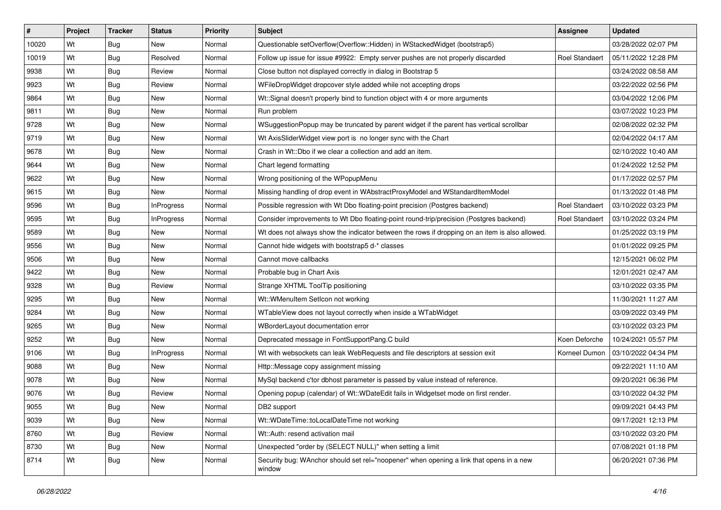| $\vert$ # | Project | <b>Tracker</b> | <b>Status</b>     | <b>Priority</b> | <b>Subject</b>                                                                                    | Assignee              | <b>Updated</b>      |
|-----------|---------|----------------|-------------------|-----------------|---------------------------------------------------------------------------------------------------|-----------------------|---------------------|
| 10020     | Wt      | Bug            | New               | Normal          | Questionable setOverflow(Overflow::Hidden) in WStackedWidget (bootstrap5)                         |                       | 03/28/2022 02:07 PM |
| 10019     | Wt      | <b>Bug</b>     | Resolved          | Normal          | Follow up issue for issue #9922: Empty server pushes are not properly discarded                   | <b>Roel Standaert</b> | 05/11/2022 12:28 PM |
| 9938      | Wt      | <b>Bug</b>     | Review            | Normal          | Close button not displayed correctly in dialog in Bootstrap 5                                     |                       | 03/24/2022 08:58 AM |
| 9923      | Wt      | <b>Bug</b>     | Review            | Normal          | WFileDropWidget dropcover style added while not accepting drops                                   |                       | 03/22/2022 02:56 PM |
| 9864      | Wt      | Bug            | <b>New</b>        | Normal          | Wt::Signal doesn't properly bind to function object with 4 or more arguments                      |                       | 03/04/2022 12:06 PM |
| 9811      | Wt      | <b>Bug</b>     | <b>New</b>        | Normal          | Run problem                                                                                       |                       | 03/07/2022 10:23 PM |
| 9728      | Wt      | Bug            | New               | Normal          | WSuggestionPopup may be truncated by parent widget if the parent has vertical scrollbar           |                       | 02/08/2022 02:32 PM |
| 9719      | Wt      | <b>Bug</b>     | <b>New</b>        | Normal          | Wt AxisSliderWidget view port is no longer sync with the Chart                                    |                       | 02/04/2022 04:17 AM |
| 9678      | Wt      | <b>Bug</b>     | <b>New</b>        | Normal          | Crash in Wt::Dbo if we clear a collection and add an item.                                        |                       | 02/10/2022 10:40 AM |
| 9644      | Wt      | Bug            | <b>New</b>        | Normal          | Chart legend formatting                                                                           |                       | 01/24/2022 12:52 PM |
| 9622      | Wt      | <b>Bug</b>     | <b>New</b>        | Normal          | Wrong positioning of the WPopupMenu                                                               |                       | 01/17/2022 02:57 PM |
| 9615      | Wt      | Bug            | New               | Normal          | Missing handling of drop event in WAbstractProxyModel and WStandardItemModel                      |                       | 01/13/2022 01:48 PM |
| 9596      | Wt      | Bug            | InProgress        | Normal          | Possible regression with Wt Dbo floating-point precision (Postgres backend)                       | <b>Roel Standaert</b> | 03/10/2022 03:23 PM |
| 9595      | Wt      | Bug            | <b>InProgress</b> | Normal          | Consider improvements to Wt Dbo floating-point round-trip/precision (Postgres backend)            | Roel Standaert        | 03/10/2022 03:24 PM |
| 9589      | Wt      | <b>Bug</b>     | <b>New</b>        | Normal          | Wt does not always show the indicator between the rows if dropping on an item is also allowed.    |                       | 01/25/2022 03:19 PM |
| 9556      | Wt      | Bug            | New               | Normal          | Cannot hide widgets with bootstrap5 d-* classes                                                   |                       | 01/01/2022 09:25 PM |
| 9506      | Wt      | <b>Bug</b>     | <b>New</b>        | Normal          | Cannot move callbacks                                                                             |                       | 12/15/2021 06:02 PM |
| 9422      | Wt      | Bug            | <b>New</b>        | Normal          | Probable bug in Chart Axis                                                                        |                       | 12/01/2021 02:47 AM |
| 9328      | Wt      | <b>Bug</b>     | Review            | Normal          | Strange XHTML ToolTip positioning                                                                 |                       | 03/10/2022 03:35 PM |
| 9295      | Wt      | <b>Bug</b>     | <b>New</b>        | Normal          | Wt::WMenuItem SetIcon not working                                                                 |                       | 11/30/2021 11:27 AM |
| 9284      | Wt      | <b>Bug</b>     | New               | Normal          | WTableView does not layout correctly when inside a WTabWidget                                     |                       | 03/09/2022 03:49 PM |
| 9265      | Wt      | <b>Bug</b>     | <b>New</b>        | Normal          | WBorderLayout documentation error                                                                 |                       | 03/10/2022 03:23 PM |
| 9252      | Wt      | Bug            | <b>New</b>        | Normal          | Deprecated message in FontSupportPang.C build                                                     | Koen Deforche         | 10/24/2021 05:57 PM |
| 9106      | Wt      | <b>Bug</b>     | InProgress        | Normal          | Wt with websockets can leak WebRequests and file descriptors at session exit                      | Korneel Dumon         | 03/10/2022 04:34 PM |
| 9088      | Wt      | <b>Bug</b>     | New               | Normal          | Http:: Message copy assignment missing                                                            |                       | 09/22/2021 11:10 AM |
| 9078      | Wt      | Bug            | New               | Normal          | MySql backend c'tor dbhost parameter is passed by value instead of reference.                     |                       | 09/20/2021 06:36 PM |
| 9076      | Wt      | Bug            | Review            | Normal          | Opening popup (calendar) of Wt::WDateEdit fails in Widgetset mode on first render.                |                       | 03/10/2022 04:32 PM |
| 9055      | Wt      | Bug            | New               | Normal          | DB2 support                                                                                       |                       | 09/09/2021 04:43 PM |
| 9039      | Wt      | Bug            | New               | Normal          | Wt::WDateTime::toLocalDateTime not working                                                        |                       | 09/17/2021 12:13 PM |
| 8760      | Wt      | <b>Bug</b>     | Review            | Normal          | Wt::Auth: resend activation mail                                                                  |                       | 03/10/2022 03:20 PM |
| 8730      | Wt      | Bug            | New               | Normal          | Unexpected "order by (SELECT NULL)" when setting a limit                                          |                       | 07/08/2021 01:18 PM |
| 8714      | Wt      | <b>Bug</b>     | New               | Normal          | Security bug: WAnchor should set rel="noopener" when opening a link that opens in a new<br>window |                       | 06/20/2021 07:36 PM |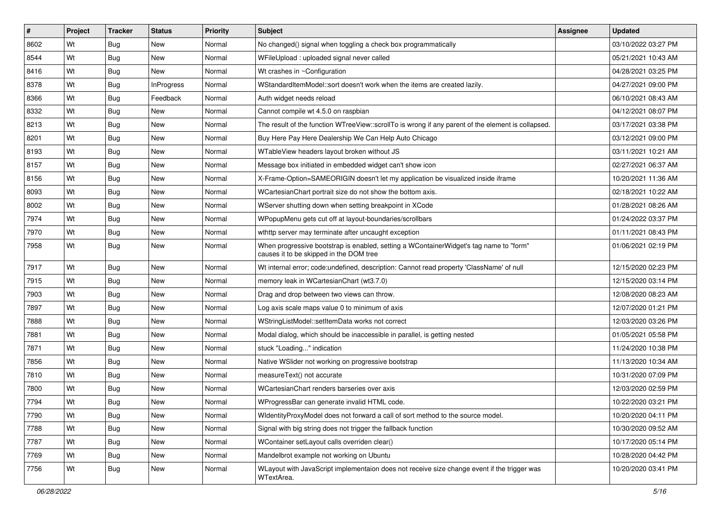| $\vert$ # | Project | <b>Tracker</b> | <b>Status</b> | <b>Priority</b> | Subject                                                                                                                           | <b>Assignee</b> | <b>Updated</b>      |
|-----------|---------|----------------|---------------|-----------------|-----------------------------------------------------------------------------------------------------------------------------------|-----------------|---------------------|
| 8602      | Wt      | Bug            | New           | Normal          | No changed() signal when toggling a check box programmatically                                                                    |                 | 03/10/2022 03:27 PM |
| 8544      | Wt      | <b>Bug</b>     | <b>New</b>    | Normal          | WFileUpload: uploaded signal never called                                                                                         |                 | 05/21/2021 10:43 AM |
| 8416      | Wt      | Bug            | New           | Normal          | Wt crashes in ~Configuration                                                                                                      |                 | 04/28/2021 03:25 PM |
| 8378      | Wt      | Bug            | InProgress    | Normal          | WStandardItemModel::sort doesn't work when the items are created lazily.                                                          |                 | 04/27/2021 09:00 PM |
| 8366      | Wt      | Bug            | Feedback      | Normal          | Auth widget needs reload                                                                                                          |                 | 06/10/2021 08:43 AM |
| 8332      | Wt      | Bug            | <b>New</b>    | Normal          | Cannot compile wt 4.5.0 on raspbian                                                                                               |                 | 04/12/2021 08:07 PM |
| 8213      | Wt      | Bug            | <b>New</b>    | Normal          | The result of the function WTreeView::scrollTo is wrong if any parent of the element is collapsed.                                |                 | 03/17/2021 03:38 PM |
| 8201      | Wt      | Bug            | <b>New</b>    | Normal          | Buy Here Pay Here Dealership We Can Help Auto Chicago                                                                             |                 | 03/12/2021 09:00 PM |
| 8193      | Wt      | Bug            | <b>New</b>    | Normal          | WTableView headers layout broken without JS                                                                                       |                 | 03/11/2021 10:21 AM |
| 8157      | Wt      | Bug            | <b>New</b>    | Normal          | Message box initiated in embedded widget can't show icon                                                                          |                 | 02/27/2021 06:37 AM |
| 8156      | Wt      | <b>Bug</b>     | <b>New</b>    | Normal          | X-Frame-Option=SAMEORIGIN doesn't let my application be visualized inside iframe                                                  |                 | 10/20/2021 11:36 AM |
| 8093      | Wt      | Bug            | <b>New</b>    | Normal          | WCartesianChart portrait size do not show the bottom axis.                                                                        |                 | 02/18/2021 10:22 AM |
| 8002      | Wt      | Bug            | <b>New</b>    | Normal          | WServer shutting down when setting breakpoint in XCode                                                                            |                 | 01/28/2021 08:26 AM |
| 7974      | Wt      | Bug            | <b>New</b>    | Normal          | WPopupMenu gets cut off at layout-boundaries/scrollbars                                                                           |                 | 01/24/2022 03:37 PM |
| 7970      | Wt      | <b>Bug</b>     | <b>New</b>    | Normal          | wthttp server may terminate after uncaught exception                                                                              |                 | 01/11/2021 08:43 PM |
| 7958      | Wt      | Bug            | New           | Normal          | When progressive bootstrap is enabled, setting a WContainerWidget's tag name to "form"<br>causes it to be skipped in the DOM tree |                 | 01/06/2021 02:19 PM |
| 7917      | Wt      | Bug            | <b>New</b>    | Normal          | Wt internal error; code:undefined, description: Cannot read property 'ClassName' of null                                          |                 | 12/15/2020 02:23 PM |
| 7915      | Wt      | Bug            | <b>New</b>    | Normal          | memory leak in WCartesianChart (wt3.7.0)                                                                                          |                 | 12/15/2020 03:14 PM |
| 7903      | Wt      | Bug            | <b>New</b>    | Normal          | Drag and drop between two views can throw.                                                                                        |                 | 12/08/2020 08:23 AM |
| 7897      | Wt      | Bug            | <b>New</b>    | Normal          | Log axis scale maps value 0 to minimum of axis                                                                                    |                 | 12/07/2020 01:21 PM |
| 7888      | Wt      | Bug            | <b>New</b>    | Normal          | WStringListModel::setItemData works not correct                                                                                   |                 | 12/03/2020 03:26 PM |
| 7881      | Wt      | Bug            | <b>New</b>    | Normal          | Modal dialog, which should be inaccessible in parallel, is getting nested                                                         |                 | 01/05/2021 05:58 PM |
| 7871      | Wt      | Bug            | New           | Normal          | stuck "Loading" indication                                                                                                        |                 | 11/24/2020 10:38 PM |
| 7856      | Wt      | <b>Bug</b>     | <b>New</b>    | Normal          | Native WSIider not working on progressive bootstrap                                                                               |                 | 11/13/2020 10:34 AM |
| 7810      | Wt      | Bug            | <b>New</b>    | Normal          | measureText() not accurate                                                                                                        |                 | 10/31/2020 07:09 PM |
| 7800      | Wt      | Bug            | New           | Normal          | WCartesianChart renders barseries over axis                                                                                       |                 | 12/03/2020 02:59 PM |
| 7794      | Wt      | Bug            | <b>New</b>    | Normal          | WProgressBar can generate invalid HTML code.                                                                                      |                 | 10/22/2020 03:21 PM |
| 7790      | Wt      | <b>Bug</b>     | New           | Normal          | WidentityProxyModel does not forward a call of sort method to the source model.                                                   |                 | 10/20/2020 04:11 PM |
| 7788      | Wt      | Bug            | New           | Normal          | Signal with big string does not trigger the fallback function                                                                     |                 | 10/30/2020 09:52 AM |
| 7787      | Wt      | <b>Bug</b>     | New           | Normal          | WContainer setLayout calls overriden clear()                                                                                      |                 | 10/17/2020 05:14 PM |
| 7769      | Wt      | <b>Bug</b>     | New           | Normal          | Mandelbrot example not working on Ubuntu                                                                                          |                 | 10/28/2020 04:42 PM |
| 7756      | Wt      | <b>Bug</b>     | New           | Normal          | WLayout with JavaScript implementaion does not receive size change event if the trigger was<br>WTextArea.                         |                 | 10/20/2020 03:41 PM |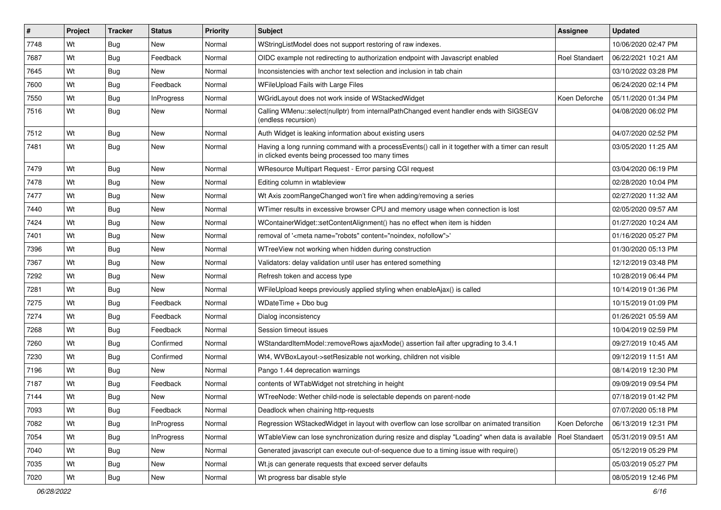| #    | Project | <b>Tracker</b> | <b>Status</b>     | <b>Priority</b> | <b>Subject</b>                                                                                                                                       | Assignee              | <b>Updated</b>      |
|------|---------|----------------|-------------------|-----------------|------------------------------------------------------------------------------------------------------------------------------------------------------|-----------------------|---------------------|
| 7748 | Wt      | Bug            | <b>New</b>        | Normal          | WStringListModel does not support restoring of raw indexes.                                                                                          |                       | 10/06/2020 02:47 PM |
| 7687 | Wt      | Bug            | Feedback          | Normal          | OIDC example not redirecting to authorization endpoint with Javascript enabled                                                                       | <b>Roel Standaert</b> | 06/22/2021 10:21 AM |
| 7645 | Wt      | Bug            | New               | Normal          | Inconsistencies with anchor text selection and inclusion in tab chain                                                                                |                       | 03/10/2022 03:28 PM |
| 7600 | Wt      | Bug            | Feedback          | Normal          | WFileUpload Fails with Large Files                                                                                                                   |                       | 06/24/2020 02:14 PM |
| 7550 | Wt      | <b>Bug</b>     | InProgress        | Normal          | WGridLayout does not work inside of WStackedWidget                                                                                                   | Koen Deforche         | 05/11/2020 01:34 PM |
| 7516 | Wt      | Bug            | <b>New</b>        | Normal          | Calling WMenu::select(nullptr) from internalPathChanged event handler ends with SIGSEGV<br>(endless recursion)                                       |                       | 04/08/2020 06:02 PM |
| 7512 | Wt      | Bug            | <b>New</b>        | Normal          | Auth Widget is leaking information about existing users                                                                                              |                       | 04/07/2020 02:52 PM |
| 7481 | Wt      | <b>Bug</b>     | <b>New</b>        | Normal          | Having a long running command with a processEvents() call in it together with a timer can result<br>in clicked events being processed too many times |                       | 03/05/2020 11:25 AM |
| 7479 | Wt      | Bug            | <b>New</b>        | Normal          | WResource Multipart Request - Error parsing CGI request                                                                                              |                       | 03/04/2020 06:19 PM |
| 7478 | Wt      | Bug            | <b>New</b>        | Normal          | Editing column in wtableview                                                                                                                         |                       | 02/28/2020 10:04 PM |
| 7477 | Wt      | <b>Bug</b>     | <b>New</b>        | Normal          | Wt Axis zoomRangeChanged won't fire when adding/removing a series                                                                                    |                       | 02/27/2020 11:32 AM |
| 7440 | Wt      | <b>Bug</b>     | <b>New</b>        | Normal          | WTimer results in excessive browser CPU and memory usage when connection is lost                                                                     |                       | 02/05/2020 09:57 AM |
| 7424 | Wt      | Bug            | New               | Normal          | WContainerWidget::setContentAlignment() has no effect when item is hidden                                                                            |                       | 01/27/2020 10:24 AM |
| 7401 | Wt      | Bug            | <b>New</b>        | Normal          | removal of ' <meta content="noindex, nofollow" name="robots"/> '                                                                                     |                       | 01/16/2020 05:27 PM |
| 7396 | Wt      | Bug            | <b>New</b>        | Normal          | WTreeView not working when hidden during construction                                                                                                |                       | 01/30/2020 05:13 PM |
| 7367 | Wt      | <b>Bug</b>     | <b>New</b>        | Normal          | Validators: delay validation until user has entered something                                                                                        |                       | 12/12/2019 03:48 PM |
| 7292 | Wt      | Bug            | New               | Normal          | Refresh token and access type                                                                                                                        |                       | 10/28/2019 06:44 PM |
| 7281 | Wt      | <b>Bug</b>     | <b>New</b>        | Normal          | WFileUpload keeps previously applied styling when enableAjax() is called                                                                             |                       | 10/14/2019 01:36 PM |
| 7275 | Wt      | Bug            | Feedback          | Normal          | WDateTime + Dbo bug                                                                                                                                  |                       | 10/15/2019 01:09 PM |
| 7274 | Wt      | Bug            | Feedback          | Normal          | Dialog inconsistency                                                                                                                                 |                       | 01/26/2021 05:59 AM |
| 7268 | Wt      | <b>Bug</b>     | Feedback          | Normal          | Session timeout issues                                                                                                                               |                       | 10/04/2019 02:59 PM |
| 7260 | Wt      | Bug            | Confirmed         | Normal          | WStandardItemModel::removeRows ajaxMode() assertion fail after upgrading to 3.4.1                                                                    |                       | 09/27/2019 10:45 AM |
| 7230 | Wt      | Bug            | Confirmed         | Normal          | Wt4, WVBoxLayout->setResizable not working, children not visible                                                                                     |                       | 09/12/2019 11:51 AM |
| 7196 | Wt      | <b>Bug</b>     | New               | Normal          | Pango 1.44 deprecation warnings                                                                                                                      |                       | 08/14/2019 12:30 PM |
| 7187 | Wt      | <b>Bug</b>     | Feedback          | Normal          | contents of WTabWidget not stretching in height                                                                                                      |                       | 09/09/2019 09:54 PM |
| 7144 | Wt      | Bug            | New               | Normal          | WTreeNode: Wether child-node is selectable depends on parent-node                                                                                    |                       | 07/18/2019 01:42 PM |
| 7093 | Wt      | <b>Bug</b>     | Feedback          | Normal          | Deadlock when chaining http-requests                                                                                                                 |                       | 07/07/2020 05:18 PM |
| 7082 | Wt      | Bug            | <b>InProgress</b> | Normal          | Regression WStackedWidget in layout with overflow can lose scrollbar on animated transition                                                          | Koen Deforche         | 06/13/2019 12:31 PM |
| 7054 | Wt      | Bug            | InProgress        | Normal          | WTableView can lose synchronization during resize and display "Loading" when data is available                                                       | <b>Roel Standaert</b> | 05/31/2019 09:51 AM |
| 7040 | Wt      | <b>Bug</b>     | New               | Normal          | Generated javascript can execute out-of-sequence due to a timing issue with require()                                                                |                       | 05/12/2019 05:29 PM |
| 7035 | Wt      | <b>Bug</b>     | New               | Normal          | Wt.js can generate requests that exceed server defaults                                                                                              |                       | 05/03/2019 05:27 PM |
| 7020 | Wt      | <b>Bug</b>     | New               | Normal          | Wt progress bar disable style                                                                                                                        |                       | 08/05/2019 12:46 PM |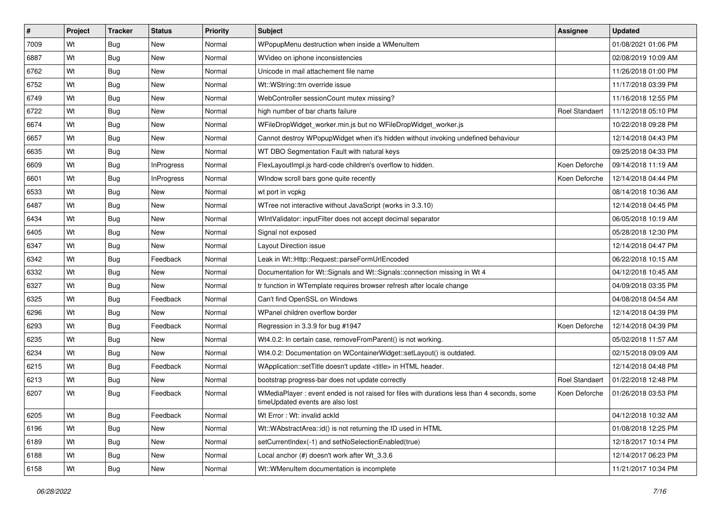| $\vert$ # | Project | <b>Tracker</b> | <b>Status</b>     | <b>Priority</b> | <b>Subject</b>                                                                                                                 | <b>Assignee</b>       | <b>Updated</b>      |
|-----------|---------|----------------|-------------------|-----------------|--------------------------------------------------------------------------------------------------------------------------------|-----------------------|---------------------|
| 7009      | Wt      | Bug            | New               | Normal          | WPopupMenu destruction when inside a WMenuItem                                                                                 |                       | 01/08/2021 01:06 PM |
| 6887      | Wt      | Bug            | <b>New</b>        | Normal          | WVideo on iphone inconsistencies                                                                                               |                       | 02/08/2019 10:09 AM |
| 6762      | Wt      | <b>Bug</b>     | <b>New</b>        | Normal          | Unicode in mail attachement file name                                                                                          |                       | 11/26/2018 01:00 PM |
| 6752      | Wt      | <b>Bug</b>     | <b>New</b>        | Normal          | Wt::WString::trn override issue                                                                                                |                       | 11/17/2018 03:39 PM |
| 6749      | Wt      | Bug            | <b>New</b>        | Normal          | WebController sessionCount mutex missing?                                                                                      |                       | 11/16/2018 12:55 PM |
| 6722      | Wt      | <b>Bug</b>     | <b>New</b>        | Normal          | high number of bar charts failure                                                                                              | Roel Standaert        | 11/12/2018 05:10 PM |
| 6674      | Wt      | Bug            | <b>New</b>        | Normal          | WFileDropWidget_worker.min.js but no WFileDropWidget_worker.js                                                                 |                       | 10/22/2018 09:28 PM |
| 6657      | Wt      | Bug            | New               | Normal          | Cannot destroy WPopupWidget when it's hidden without invoking undefined behaviour                                              |                       | 12/14/2018 04:43 PM |
| 6635      | Wt      | <b>Bug</b>     | <b>New</b>        | Normal          | WT DBO Segmentation Fault with natural keys                                                                                    |                       | 09/25/2018 04:33 PM |
| 6609      | Wt      | Bug            | <b>InProgress</b> | Normal          | FlexLayoutImpl.js hard-code children's overflow to hidden.                                                                     | Koen Deforche         | 09/14/2018 11:19 AM |
| 6601      | Wt      | Bug            | <b>InProgress</b> | Normal          | Window scroll bars gone quite recently                                                                                         | Koen Deforche         | 12/14/2018 04:44 PM |
| 6533      | Wt      | Bug            | <b>New</b>        | Normal          | wt port in vcpkg                                                                                                               |                       | 08/14/2018 10:36 AM |
| 6487      | Wt      | Bug            | <b>New</b>        | Normal          | WTree not interactive without JavaScript (works in 3.3.10)                                                                     |                       | 12/14/2018 04:45 PM |
| 6434      | Wt      | Bug            | <b>New</b>        | Normal          | WintValidator: inputFilter does not accept decimal separator                                                                   |                       | 06/05/2018 10:19 AM |
| 6405      | Wt      | Bug            | <b>New</b>        | Normal          | Signal not exposed                                                                                                             |                       | 05/28/2018 12:30 PM |
| 6347      | Wt      | Bug            | <b>New</b>        | Normal          | Layout Direction issue                                                                                                         |                       | 12/14/2018 04:47 PM |
| 6342      | Wt      | <b>Bug</b>     | Feedback          | Normal          | Leak in Wt::Http::Request::parseFormUrlEncoded                                                                                 |                       | 06/22/2018 10:15 AM |
| 6332      | Wt      | Bug            | <b>New</b>        | Normal          | Documentation for Wt::Signals and Wt::Signals::connection missing in Wt 4                                                      |                       | 04/12/2018 10:45 AM |
| 6327      | Wt      | Bug            | <b>New</b>        | Normal          | tr function in WTemplate requires browser refresh after locale change                                                          |                       | 04/09/2018 03:35 PM |
| 6325      | Wt      | Bug            | Feedback          | Normal          | Can't find OpenSSL on Windows                                                                                                  |                       | 04/08/2018 04:54 AM |
| 6296      | Wt      | Bug            | New               | Normal          | WPanel children overflow border                                                                                                |                       | 12/14/2018 04:39 PM |
| 6293      | Wt      | <b>Bug</b>     | Feedback          | Normal          | Regression in 3.3.9 for bug #1947                                                                                              | Koen Deforche         | 12/14/2018 04:39 PM |
| 6235      | Wt      | Bug            | <b>New</b>        | Normal          | Wt4.0.2: In certain case, removeFromParent() is not working.                                                                   |                       | 05/02/2018 11:57 AM |
| 6234      | Wt      | <b>Bug</b>     | New               | Normal          | Wt4.0.2: Documentation on WContainerWidget::setLayout() is outdated.                                                           |                       | 02/15/2018 09:09 AM |
| 6215      | Wt      | <b>Bug</b>     | Feedback          | Normal          | WApplication::setTitle doesn't update <title> in HTML header.</title>                                                          |                       | 12/14/2018 04:48 PM |
| 6213      | Wt      | <b>Bug</b>     | New               | Normal          | bootstrap progress-bar does not update correctly                                                                               | <b>Roel Standaert</b> | 01/22/2018 12:48 PM |
| 6207      | Wt      | Bug            | Feedback          | Normal          | WMediaPlayer: event ended is not raised for files with durations less than 4 seconds, some<br>timeUpdated events are also lost | Koen Deforche         | 01/26/2018 03:53 PM |
| 6205      | Wt      | Bug            | Feedback          | Normal          | Wt Error: Wt: invalid ackId                                                                                                    |                       | 04/12/2018 10:32 AM |
| 6196      | Wt      | Bug            | New               | Normal          | Wt::WAbstractArea::id() is not returning the ID used in HTML                                                                   |                       | 01/08/2018 12:25 PM |
| 6189      | Wt      | Bug            | New               | Normal          | setCurrentIndex(-1) and setNoSelectionEnabled(true)                                                                            |                       | 12/18/2017 10:14 PM |
| 6188      | Wt      | <b>Bug</b>     | New               | Normal          | Local anchor (#) doesn't work after Wt_3.3.6                                                                                   |                       | 12/14/2017 06:23 PM |
| 6158      | Wt      | <b>Bug</b>     | New               | Normal          | Wt::WMenuItem documentation is incomplete                                                                                      |                       | 11/21/2017 10:34 PM |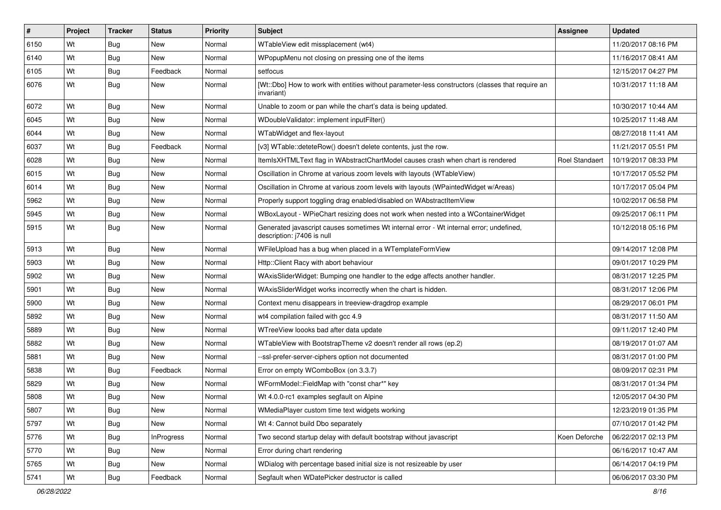| $\vert$ # | Project | <b>Tracker</b> | <b>Status</b>     | <b>Priority</b> | <b>Subject</b>                                                                                                        | Assignee              | <b>Updated</b>      |
|-----------|---------|----------------|-------------------|-----------------|-----------------------------------------------------------------------------------------------------------------------|-----------------------|---------------------|
| 6150      | Wt      | <b>Bug</b>     | New               | Normal          | WTableView edit missplacement (wt4)                                                                                   |                       | 11/20/2017 08:16 PM |
| 6140      | Wt      | Bug            | New               | Normal          | WPopupMenu not closing on pressing one of the items                                                                   |                       | 11/16/2017 08:41 AM |
| 6105      | Wt      | Bug            | Feedback          | Normal          | setfocus                                                                                                              |                       | 12/15/2017 04:27 PM |
| 6076      | Wt      | Bug            | <b>New</b>        | Normal          | [Wt::Dbo] How to work with entities without parameter-less constructors (classes that require an<br>invariant)        |                       | 10/31/2017 11:18 AM |
| 6072      | Wt      | Bug            | New               | Normal          | Unable to zoom or pan while the chart's data is being updated.                                                        |                       | 10/30/2017 10:44 AM |
| 6045      | Wt      | Bug            | New               | Normal          | WDoubleValidator: implement inputFilter()                                                                             |                       | 10/25/2017 11:48 AM |
| 6044      | Wt      | Bug            | <b>New</b>        | Normal          | WTabWidget and flex-layout                                                                                            |                       | 08/27/2018 11:41 AM |
| 6037      | Wt      | Bug            | Feedback          | Normal          | [v3] WTable::deteteRow() doesn't delete contents, just the row.                                                       |                       | 11/21/2017 05:51 PM |
| 6028      | Wt      | Bug            | <b>New</b>        | Normal          | ItemIsXHTMLText flag in WAbstractChartModel causes crash when chart is rendered                                       | <b>Roel Standaert</b> | 10/19/2017 08:33 PM |
| 6015      | Wt      | Bug            | New               | Normal          | Oscillation in Chrome at various zoom levels with layouts (WTableView)                                                |                       | 10/17/2017 05:52 PM |
| 6014      | Wt      | Bug            | New               | Normal          | Oscillation in Chrome at various zoom levels with layouts (WPaintedWidget w/Areas)                                    |                       | 10/17/2017 05:04 PM |
| 5962      | Wt      | Bug            | New               | Normal          | Properly support toggling drag enabled/disabled on WAbstractItemView                                                  |                       | 10/02/2017 06:58 PM |
| 5945      | Wt      | Bug            | New               | Normal          | WBoxLayout - WPieChart resizing does not work when nested into a WContainerWidget                                     |                       | 09/25/2017 06:11 PM |
| 5915      | Wt      | Bug            | New               | Normal          | Generated javascript causes sometimes Wt internal error - Wt internal error; undefined,<br>description: j7406 is null |                       | 10/12/2018 05:16 PM |
| 5913      | Wt      | Bug            | New               | Normal          | WFileUpload has a bug when placed in a WTemplateFormView                                                              |                       | 09/14/2017 12:08 PM |
| 5903      | Wt      | <b>Bug</b>     | New               | Normal          | Http::Client Racy with abort behaviour                                                                                |                       | 09/01/2017 10:29 PM |
| 5902      | Wt      | Bug            | New               | Normal          | WAxisSliderWidget: Bumping one handler to the edge affects another handler.                                           |                       | 08/31/2017 12:25 PM |
| 5901      | Wt      | Bug            | New               | Normal          | WAxisSliderWidget works incorrectly when the chart is hidden.                                                         |                       | 08/31/2017 12:06 PM |
| 5900      | Wt      | Bug            | New               | Normal          | Context menu disappears in treeview-dragdrop example                                                                  |                       | 08/29/2017 06:01 PM |
| 5892      | Wt      | Bug            | New               | Normal          | wt4 compilation failed with gcc 4.9                                                                                   |                       | 08/31/2017 11:50 AM |
| 5889      | Wt      | Bug            | <b>New</b>        | Normal          | WTreeView loooks bad after data update                                                                                |                       | 09/11/2017 12:40 PM |
| 5882      | Wt      | <b>Bug</b>     | New               | Normal          | WTableView with BootstrapTheme v2 doesn't render all rows (ep.2)                                                      |                       | 08/19/2017 01:07 AM |
| 5881      | Wt      | Bug            | New               | Normal          | --ssl-prefer-server-ciphers option not documented                                                                     |                       | 08/31/2017 01:00 PM |
| 5838      | Wt      | Bug            | Feedback          | Normal          | Error on empty WComboBox (on 3.3.7)                                                                                   |                       | 08/09/2017 02:31 PM |
| 5829      | Wt      | Bug            | New               | Normal          | WFormModel::FieldMap with "const char*" key                                                                           |                       | 08/31/2017 01:34 PM |
| 5808      | Wt      | <b>Bug</b>     | New               | Normal          | Wt 4.0.0-rc1 examples segfault on Alpine                                                                              |                       | 12/05/2017 04:30 PM |
| 5807      | Wt      | <b>Bug</b>     | New               | Normal          | WMediaPlayer custom time text widgets working                                                                         |                       | 12/23/2019 01:35 PM |
| 5797      | Wt      | <b>Bug</b>     | New               | Normal          | Wt 4: Cannot build Dbo separately                                                                                     |                       | 07/10/2017 01:42 PM |
| 5776      | Wt      | <b>Bug</b>     | <b>InProgress</b> | Normal          | Two second startup delay with default bootstrap without javascript                                                    | Koen Deforche         | 06/22/2017 02:13 PM |
| 5770      | Wt      | <b>Bug</b>     | New               | Normal          | Error during chart rendering                                                                                          |                       | 06/16/2017 10:47 AM |
| 5765      | Wt      | <b>Bug</b>     | New               | Normal          | WDialog with percentage based initial size is not resizeable by user                                                  |                       | 06/14/2017 04:19 PM |
| 5741      | Wt      | <b>Bug</b>     | Feedback          | Normal          | Segfault when WDatePicker destructor is called                                                                        |                       | 06/06/2017 03:30 PM |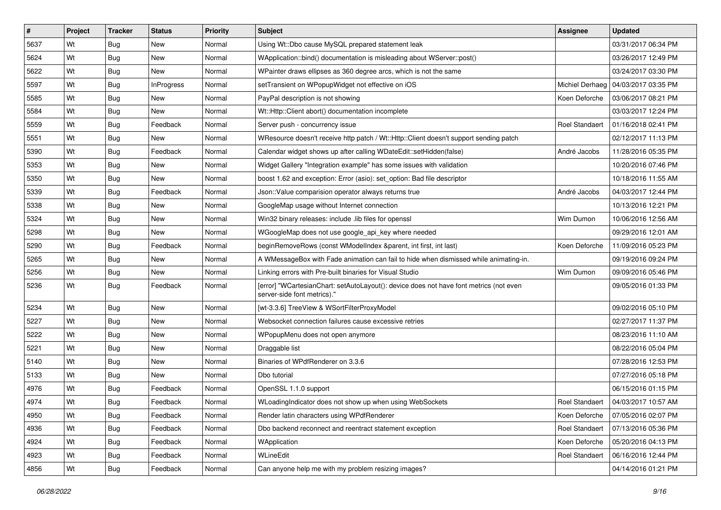| $\vert$ # | Project | <b>Tracker</b> | <b>Status</b>     | <b>Priority</b> | <b>Subject</b>                                                                                                        | <b>Assignee</b>       | <b>Updated</b>                        |
|-----------|---------|----------------|-------------------|-----------------|-----------------------------------------------------------------------------------------------------------------------|-----------------------|---------------------------------------|
| 5637      | Wt      | Bug            | New               | Normal          | Using Wt::Dbo cause MySQL prepared statement leak                                                                     |                       | 03/31/2017 06:34 PM                   |
| 5624      | Wt      | Bug            | <b>New</b>        | Normal          | WApplication::bind() documentation is misleading about WServer::post()                                                |                       | 03/26/2017 12:49 PM                   |
| 5622      | Wt      | <b>Bug</b>     | New               | Normal          | WPainter draws ellipses as 360 degree arcs, which is not the same                                                     |                       | 03/24/2017 03:30 PM                   |
| 5597      | Wt      | Bug            | <b>InProgress</b> | Normal          | setTransient on WPopupWidget not effective on iOS                                                                     |                       | Michiel Derhaeg   04/03/2017 03:35 PM |
| 5585      | Wt      | <b>Bug</b>     | <b>New</b>        | Normal          | PayPal description is not showing                                                                                     | Koen Deforche         | 03/06/2017 08:21 PM                   |
| 5584      | Wt      | Bug            | New               | Normal          | Wt::Http::Client abort() documentation incomplete                                                                     |                       | 03/03/2017 12:24 PM                   |
| 5559      | Wt      | Bug            | Feedback          | Normal          | Server push - concurrency issue                                                                                       | <b>Roel Standaert</b> | 01/16/2018 02:41 PM                   |
| 5551      | Wt      | <b>Bug</b>     | New               | Normal          | WResource doesn't receive http patch / Wt::Http::Client doesn't support sending patch                                 |                       | 02/12/2017 11:13 PM                   |
| 5390      | Wt      | <b>Bug</b>     | Feedback          | Normal          | Calendar widget shows up after calling WDateEdit::setHidden(false)                                                    | André Jacobs          | 11/28/2016 05:35 PM                   |
| 5353      | Wt      | Bug            | New               | Normal          | Widget Gallery "Integration example" has some issues with validation                                                  |                       | 10/20/2016 07:46 PM                   |
| 5350      | Wt      | Bug            | New               | Normal          | boost 1.62 and exception: Error (asio): set_option: Bad file descriptor                                               |                       | 10/18/2016 11:55 AM                   |
| 5339      | Wt      | <b>Bug</b>     | Feedback          | Normal          | Json::Value comparision operator always returns true                                                                  | André Jacobs          | 04/03/2017 12:44 PM                   |
| 5338      | Wt      | Bug            | <b>New</b>        | Normal          | GoogleMap usage without Internet connection                                                                           |                       | 10/13/2016 12:21 PM                   |
| 5324      | Wt      | Bug            | New               | Normal          | Win32 binary releases: include .lib files for openssl                                                                 | Wim Dumon             | 10/06/2016 12:56 AM                   |
| 5298      | Wt      | Bug            | <b>New</b>        | Normal          | WGoogleMap does not use google_api_key where needed                                                                   |                       | 09/29/2016 12:01 AM                   |
| 5290      | Wt      | Bug            | Feedback          | Normal          | beginRemoveRows (const WModelIndex &parent, int first, int last)                                                      | Koen Deforche         | 11/09/2016 05:23 PM                   |
| 5265      | Wt      | Bug            | New               | Normal          | A WMessageBox with Fade animation can fail to hide when dismissed while animating-in.                                 |                       | 09/19/2016 09:24 PM                   |
| 5256      | Wt      | Bug            | New               | Normal          | Linking errors with Pre-built binaries for Visual Studio                                                              | Wim Dumon             | 09/09/2016 05:46 PM                   |
| 5236      | Wt      | Bug            | Feedback          | Normal          | [error] "WCartesianChart: setAutoLayout(): device does not have font metrics (not even<br>server-side font metrics)." |                       | 09/05/2016 01:33 PM                   |
| 5234      | Wt      | Bug            | <b>New</b>        | Normal          | [wt-3.3.6] TreeView & WSortFilterProxyModel                                                                           |                       | 09/02/2016 05:10 PM                   |
| 5227      | Wt      | Bug            | <b>New</b>        | Normal          | Websocket connection failures cause excessive retries                                                                 |                       | 02/27/2017 11:37 PM                   |
| 5222      | Wt      | Bug            | New               | Normal          | WPopupMenu does not open anymore                                                                                      |                       | 08/23/2016 11:10 AM                   |
| 5221      | Wt      | <b>Bug</b>     | New               | Normal          | Draggable list                                                                                                        |                       | 08/22/2016 05:04 PM                   |
| 5140      | Wt      | Bug            | <b>New</b>        | Normal          | Binaries of WPdfRenderer on 3.3.6                                                                                     |                       | 07/28/2016 12:53 PM                   |
| 5133      | Wt      | Bug            | <b>New</b>        | Normal          | Dbo tutorial                                                                                                          |                       | 07/27/2016 05:18 PM                   |
| 4976      | Wt      | <b>Bug</b>     | Feedback          | Normal          | OpenSSL 1.1.0 support                                                                                                 |                       | 06/15/2016 01:15 PM                   |
| 4974      | Wt      | Bug            | Feedback          | Normal          | WLoadingIndicator does not show up when using WebSockets                                                              | Roel Standaert        | 04/03/2017 10:57 AM                   |
| 4950      | Wt      | Bug            | Feedback          | Normal          | Render latin characters using WPdfRenderer                                                                            | Koen Deforche         | 07/05/2016 02:07 PM                   |
| 4936      | Wt      | Bug            | Feedback          | Normal          | Dbo backend reconnect and reentract statement exception                                                               | Roel Standaert        | 07/13/2016 05:36 PM                   |
| 4924      | Wt      | <b>Bug</b>     | Feedback          | Normal          | WApplication                                                                                                          | Koen Deforche         | 05/20/2016 04:13 PM                   |
| 4923      | Wt      | <b>Bug</b>     | Feedback          | Normal          | WLineEdit                                                                                                             | <b>Roel Standaert</b> | 06/16/2016 12:44 PM                   |
| 4856      | Wt      | <b>Bug</b>     | Feedback          | Normal          | Can anyone help me with my problem resizing images?                                                                   |                       | 04/14/2016 01:21 PM                   |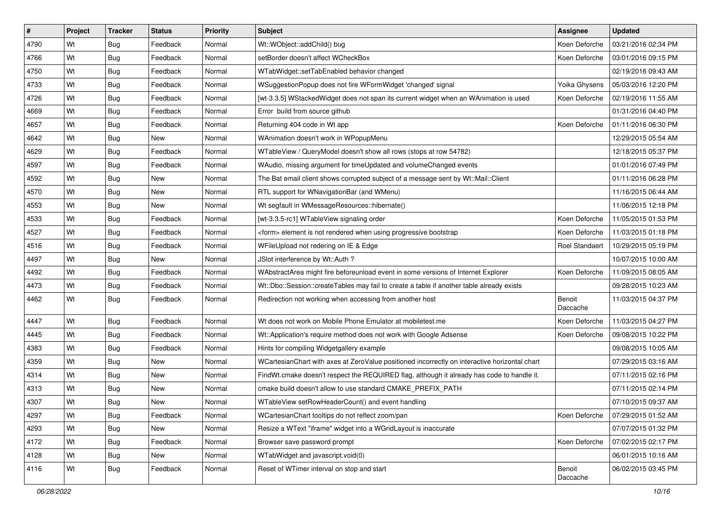| $\vert$ # | Project | <b>Tracker</b> | <b>Status</b> | <b>Priority</b> | <b>Subject</b>                                                                                | Assignee              | <b>Updated</b>      |
|-----------|---------|----------------|---------------|-----------------|-----------------------------------------------------------------------------------------------|-----------------------|---------------------|
| 4790      | Wt      | Bug            | Feedback      | Normal          | Wt::WObject::addChild() bug                                                                   | Koen Deforche         | 03/21/2016 02:34 PM |
| 4766      | Wt      | Bug            | Feedback      | Normal          | setBorder doesn't affect WCheckBox                                                            | Koen Deforche         | 03/01/2016 09:15 PM |
| 4750      | Wt      | Bug            | Feedback      | Normal          | WTabWidget::setTabEnabled behavior changed                                                    |                       | 02/19/2016 09:43 AM |
| 4733      | Wt      | <b>Bug</b>     | Feedback      | Normal          | WSuggestionPopup does not fire WFormWidget 'changed' signal                                   | Yoika Ghysens         | 05/03/2016 12:20 PM |
| 4726      | Wt      | Bug            | Feedback      | Normal          | [wt-3.3.5] WStackedWidget does not span its current widget when an WAnimation is used         | Koen Deforche         | 02/19/2016 11:55 AM |
| 4669      | Wt      | Bug            | Feedback      | Normal          | Error build from source github                                                                |                       | 01/31/2016 04:40 PM |
| 4657      | Wt      | Bug            | Feedback      | Normal          | Returning 404 code in Wt app                                                                  | Koen Deforche         | 01/11/2016 06:30 PM |
| 4642      | Wt      | Bug            | New           | Normal          | WAnimation doesn't work in WPopupMenu                                                         |                       | 12/29/2015 05:54 AM |
| 4629      | Wt      | <b>Bug</b>     | Feedback      | Normal          | WTableView / QueryModel doesn't show all rows (stops at row 54782)                            |                       | 12/18/2015 05:37 PM |
| 4597      | Wt      | Bug            | Feedback      | Normal          | WAudio, missing argument for timeUpdated and volumeChanged events                             |                       | 01/01/2016 07:49 PM |
| 4592      | Wt      | Bug            | <b>New</b>    | Normal          | The Bat email client shows corrupted subject of a message sent by Wt::Mail::Client            |                       | 01/11/2016 06:28 PM |
| 4570      | Wt      | <b>Bug</b>     | New           | Normal          | RTL support for WNavigationBar (and WMenu)                                                    |                       | 11/16/2015 06:44 AM |
| 4553      | Wt      | Bug            | <b>New</b>    | Normal          | Wt segfault in WMessageResources::hibernate()                                                 |                       | 11/06/2015 12:18 PM |
| 4533      | Wt      | Bug            | Feedback      | Normal          | [wt-3.3.5-rc1] WTableView signaling order                                                     | Koen Deforche         | 11/05/2015 01:53 PM |
| 4527      | Wt      | <b>Bug</b>     | Feedback      | Normal          | <form> element is not rendered when using progressive bootstrap</form>                        | Koen Deforche         | 11/03/2015 01:18 PM |
| 4516      | Wt      | Bug            | Feedback      | Normal          | WFileUpload not redering on IE & Edge                                                         | <b>Roel Standaert</b> | 10/29/2015 05:19 PM |
| 4497      | Wt      | <b>Bug</b>     | <b>New</b>    | Normal          | JSlot interference by Wt::Auth ?                                                              |                       | 10/07/2015 10:00 AM |
| 4492      | Wt      | Bug            | Feedback      | Normal          | WAbstractArea might fire beforeunload event in some versions of Internet Explorer             | Koen Deforche         | 11/09/2015 08:05 AM |
| 4473      | Wt      | Bug            | Feedback      | Normal          | Wt::Dbo::Session::createTables may fail to create a table if another table already exists     |                       | 09/28/2015 10:23 AM |
| 4462      | Wt      | Bug            | Feedback      | Normal          | Redirection not working when accessing from another host                                      | Benoit<br>Daccache    | 11/03/2015 04:37 PM |
| 4447      | Wt      | Bug            | Feedback      | Normal          | Wt does not work on Mobile Phone Emulator at mobiletest.me                                    | Koen Deforche         | 11/03/2015 04:27 PM |
| 4445      | Wt      | Bug            | Feedback      | Normal          | Wt::Application's require method does not work with Google Adsense                            | Koen Deforche         | 09/08/2015 10:22 PM |
| 4383      | Wt      | <b>Bug</b>     | Feedback      | Normal          | Hints for compiling Widgetgallery example                                                     |                       | 09/08/2015 10:05 AM |
| 4359      | Wt      | <b>Bug</b>     | <b>New</b>    | Normal          | WCartesianChart with axes at ZeroValue positioned incorrectly on interactive horizontal chart |                       | 07/29/2015 03:16 AM |
| 4314      | Wt      | Bug            | New           | Normal          | FindWt.cmake doesn't respect the REQUIRED flag, although it already has code to handle it.    |                       | 07/11/2015 02:16 PM |
| 4313      | Wt      | <b>Bug</b>     | New           | Normal          | cmake build doesn't allow to use standard CMAKE PREFIX PATH                                   |                       | 07/11/2015 02:14 PM |
| 4307      | Wt      | Bug            | New           | Normal          | WTableView setRowHeaderCount() and event handling                                             |                       | 07/10/2015 09:37 AM |
| 4297      | Wt      | Bug            | Feedback      | Normal          | WCartesianChart tooltips do not reflect zoom/pan                                              | Koen Deforche         | 07/29/2015 01:52 AM |
| 4293      | Wt      | Bug            | New           | Normal          | Resize a WText "iframe" widget into a WGridLayout is inaccurate                               |                       | 07/07/2015 01:32 PM |
| 4172      | Wt      | <b>Bug</b>     | Feedback      | Normal          | Browser save password prompt                                                                  | Koen Deforche         | 07/02/2015 02:17 PM |
| 4128      | Wt      | <b>Bug</b>     | New           | Normal          | WTabWidget and javascript.void(0)                                                             |                       | 06/01/2015 10:16 AM |
| 4116      | Wt      | <b>Bug</b>     | Feedback      | Normal          | Reset of WTimer interval on stop and start                                                    | Benoit<br>Daccache    | 06/02/2015 03:45 PM |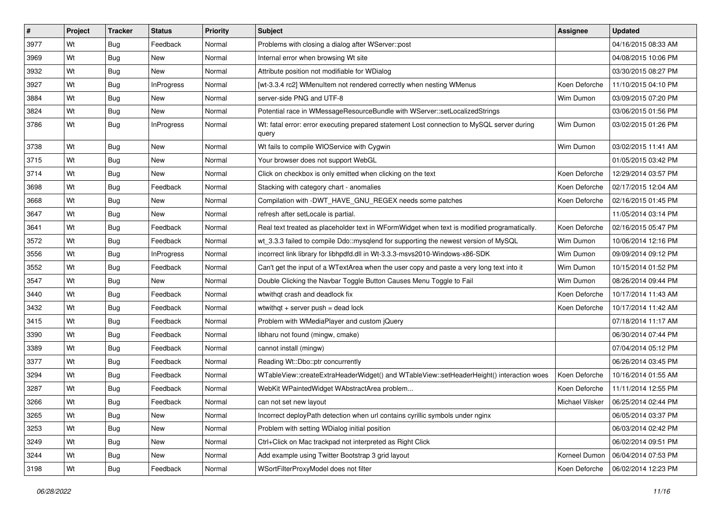| $\vert$ # | Project | <b>Tracker</b> | <b>Status</b>     | <b>Priority</b> | <b>Subject</b>                                                                                      | Assignee        | <b>Updated</b>      |
|-----------|---------|----------------|-------------------|-----------------|-----------------------------------------------------------------------------------------------------|-----------------|---------------------|
| 3977      | Wt      | Bug            | Feedback          | Normal          | Problems with closing a dialog after WServer::post                                                  |                 | 04/16/2015 08:33 AM |
| 3969      | Wt      | <b>Bug</b>     | <b>New</b>        | Normal          | Internal error when browsing Wt site                                                                |                 | 04/08/2015 10:06 PM |
| 3932      | Wt      | Bug            | New               | Normal          | Attribute position not modifiable for WDialog                                                       |                 | 03/30/2015 08:27 PM |
| 3927      | Wt      | <b>Bug</b>     | <b>InProgress</b> | Normal          | [wt-3.3.4 rc2] WMenuItem not rendered correctly when nesting WMenus                                 | Koen Deforche   | 11/10/2015 04:10 PM |
| 3884      | Wt      | Bug            | <b>New</b>        | Normal          | server-side PNG and UTF-8                                                                           | Wim Dumon       | 03/09/2015 07:20 PM |
| 3824      | Wt      | <b>Bug</b>     | New               | Normal          | Potential race in WMessageResourceBundle with WServer::setLocalizedStrings                          |                 | 03/06/2015 01:56 PM |
| 3786      | Wt      | Bug            | <b>InProgress</b> | Normal          | Wt: fatal error: error executing prepared statement Lost connection to MySQL server during<br>query | Wim Dumon       | 03/02/2015 01:26 PM |
| 3738      | Wt      | Bug            | New               | Normal          | Wt fails to compile WIOService with Cygwin                                                          | Wim Dumon       | 03/02/2015 11:41 AM |
| 3715      | Wt      | <b>Bug</b>     | <b>New</b>        | Normal          | Your browser does not support WebGL                                                                 |                 | 01/05/2015 03:42 PM |
| 3714      | Wt      | Bug            | New               | Normal          | Click on checkbox is only emitted when clicking on the text                                         | Koen Deforche   | 12/29/2014 03:57 PM |
| 3698      | Wt      | <b>Bug</b>     | Feedback          | Normal          | Stacking with category chart - anomalies                                                            | Koen Deforche   | 02/17/2015 12:04 AM |
| 3668      | Wt      | Bug            | <b>New</b>        | Normal          | Compilation with -DWT_HAVE_GNU_REGEX needs some patches                                             | Koen Deforche   | 02/16/2015 01:45 PM |
| 3647      | Wt      | <b>Bug</b>     | New               | Normal          | refresh after setLocale is partial.                                                                 |                 | 11/05/2014 03:14 PM |
| 3641      | Wt      | <b>Bug</b>     | Feedback          | Normal          | Real text treated as placeholder text in WFormWidget when text is modified programatically.         | Koen Deforche   | 02/16/2015 05:47 PM |
| 3572      | Wt      | <b>Bug</b>     | Feedback          | Normal          | wt 3.3.3 failed to compile Ddo::mysqlend for supporting the newest version of MySQL                 | Wim Dumon       | 10/06/2014 12:16 PM |
| 3556      | Wt      | <b>Bug</b>     | <b>InProgress</b> | Normal          | incorrect link library for libhpdfd.dll in Wt-3.3.3-msvs2010-Windows-x86-SDK                        | Wim Dumon       | 09/09/2014 09:12 PM |
| 3552      | Wt      | Bug            | Feedback          | Normal          | Can't get the input of a WTextArea when the user copy and paste a very long text into it            | Wim Dumon       | 10/15/2014 01:52 PM |
| 3547      | Wt      | <b>Bug</b>     | New               | Normal          | Double Clicking the Navbar Toggle Button Causes Menu Toggle to Fail                                 | Wim Dumon       | 08/26/2014 09:44 PM |
| 3440      | Wt      | <b>Bug</b>     | Feedback          | Normal          | wtwithgt crash and deadlock fix                                                                     | Koen Deforche   | 10/17/2014 11:43 AM |
| 3432      | Wt      | <b>Bug</b>     | Feedback          | Normal          | wtwithgt $+$ server push = dead lock                                                                | Koen Deforche   | 10/17/2014 11:42 AM |
| 3415      | Wt      | Bug            | Feedback          | Normal          | Problem with WMediaPlayer and custom jQuery                                                         |                 | 07/18/2014 11:17 AM |
| 3390      | Wt      | Bug            | Feedback          | Normal          | libharu not found (mingw, cmake)                                                                    |                 | 06/30/2014 07:44 PM |
| 3389      | Wt      | <b>Bug</b>     | Feedback          | Normal          | cannot install (mingw)                                                                              |                 | 07/04/2014 05:12 PM |
| 3377      | Wt      | <b>Bug</b>     | Feedback          | Normal          | Reading Wt::Dbo::ptr concurrently                                                                   |                 | 06/26/2014 03:45 PM |
| 3294      | Wt      | <b>Bug</b>     | Feedback          | Normal          | WTableView::createExtraHeaderWidget() and WTableView::setHeaderHeight() interaction woes            | Koen Deforche   | 10/16/2014 01:55 AM |
| 3287      | Wt      | Bug            | Feedback          | Normal          | WebKit WPaintedWidget WAbstractArea problem                                                         | Koen Deforche   | 11/11/2014 12:55 PM |
| 3266      | Wt      | Bug            | Feedback          | Normal          | can not set new layout                                                                              | Michael Vilsker | 06/25/2014 02:44 PM |
| 3265      | Wt      | Bug            | New               | Normal          | Incorrect deployPath detection when url contains cyrillic symbols under nginx                       |                 | 06/05/2014 03:37 PM |
| 3253      | Wt      | Bug            | New               | Normal          | Problem with setting WDialog initial position                                                       |                 | 06/03/2014 02:42 PM |
| 3249      | Wt      | <b>Bug</b>     | New               | Normal          | Ctrl+Click on Mac trackpad not interpreted as Right Click                                           |                 | 06/02/2014 09:51 PM |
| 3244      | Wt      | <b>Bug</b>     | New               | Normal          | Add example using Twitter Bootstrap 3 grid layout                                                   | Korneel Dumon   | 06/04/2014 07:53 PM |
| 3198      | Wt      | <b>Bug</b>     | Feedback          | Normal          | WSortFilterProxyModel does not filter                                                               | Koen Deforche   | 06/02/2014 12:23 PM |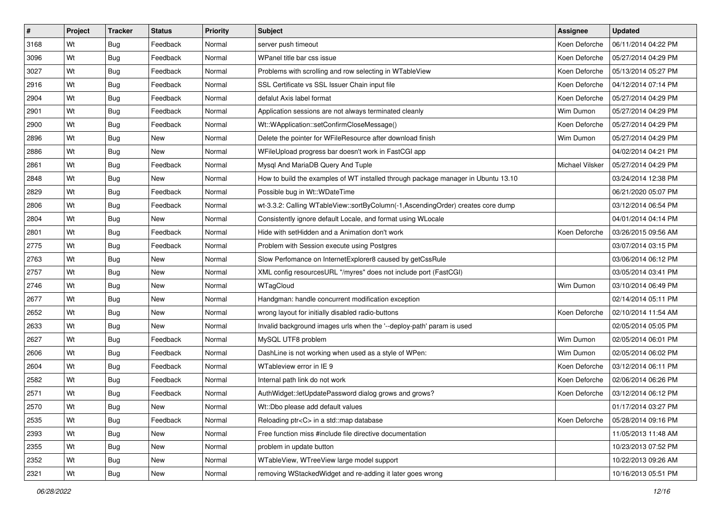| $\vert$ # | Project | <b>Tracker</b> | <b>Status</b> | <b>Priority</b> | <b>Subject</b>                                                                    | Assignee        | <b>Updated</b>      |
|-----------|---------|----------------|---------------|-----------------|-----------------------------------------------------------------------------------|-----------------|---------------------|
| 3168      | Wt      | <b>Bug</b>     | Feedback      | Normal          | server push timeout                                                               | Koen Deforche   | 06/11/2014 04:22 PM |
| 3096      | Wt      | Bug            | Feedback      | Normal          | WPanel title bar css issue                                                        | Koen Deforche   | 05/27/2014 04:29 PM |
| 3027      | Wt      | Bug            | Feedback      | Normal          | Problems with scrolling and row selecting in WTableView                           | Koen Deforche   | 05/13/2014 05:27 PM |
| 2916      | Wt      | <b>Bug</b>     | Feedback      | Normal          | SSL Certificate vs SSL Issuer Chain input file                                    | Koen Deforche   | 04/12/2014 07:14 PM |
| 2904      | Wt      | Bug            | Feedback      | Normal          | defalut Axis label format                                                         | Koen Deforche   | 05/27/2014 04:29 PM |
| 2901      | Wt      | <b>Bug</b>     | Feedback      | Normal          | Application sessions are not always terminated cleanly                            | Wim Dumon       | 05/27/2014 04:29 PM |
| 2900      | Wt      | Bug            | Feedback      | Normal          | Wt::WApplication::setConfirmCloseMessage()                                        | Koen Deforche   | 05/27/2014 04:29 PM |
| 2896      | Wt      | <b>Bug</b>     | New           | Normal          | Delete the pointer for WFileResource after download finish                        | Wim Dumon       | 05/27/2014 04:29 PM |
| 2886      | Wt      | Bug            | New           | Normal          | WFileUpload progress bar doesn't work in FastCGI app                              |                 | 04/02/2014 04:21 PM |
| 2861      | Wt      | Bug            | Feedback      | Normal          | Mysql And MariaDB Query And Tuple                                                 | Michael Vilsker | 05/27/2014 04:29 PM |
| 2848      | Wt      | Bug            | New           | Normal          | How to build the examples of WT installed through package manager in Ubuntu 13.10 |                 | 03/24/2014 12:38 PM |
| 2829      | Wt      | <b>Bug</b>     | Feedback      | Normal          | Possible bug in Wt:: WDateTime                                                    |                 | 06/21/2020 05:07 PM |
| 2806      | Wt      | Bug            | Feedback      | Normal          | wt-3.3.2: Calling WTableView::sortByColumn(-1,AscendingOrder) creates core dump   |                 | 03/12/2014 06:54 PM |
| 2804      | Wt      | Bug            | New           | Normal          | Consistently ignore default Locale, and format using WLocale                      |                 | 04/01/2014 04:14 PM |
| 2801      | Wt      | <b>Bug</b>     | Feedback      | Normal          | Hide with setHidden and a Animation don't work                                    | Koen Deforche   | 03/26/2015 09:56 AM |
| 2775      | Wt      | Bug            | Feedback      | Normal          | Problem with Session execute using Postgres                                       |                 | 03/07/2014 03:15 PM |
| 2763      | Wt      | Bug            | <b>New</b>    | Normal          | Slow Perfomance on InternetExplorer8 caused by getCssRule                         |                 | 03/06/2014 06:12 PM |
| 2757      | Wt      | Bug            | <b>New</b>    | Normal          | XML config resourcesURL "/myres" does not include port (FastCGI)                  |                 | 03/05/2014 03:41 PM |
| 2746      | Wt      | Bug            | New           | Normal          | WTagCloud                                                                         | Wim Dumon       | 03/10/2014 06:49 PM |
| 2677      | Wt      | Bug            | <b>New</b>    | Normal          | Handgman: handle concurrent modification exception                                |                 | 02/14/2014 05:11 PM |
| 2652      | Wt      | <b>Bug</b>     | New           | Normal          | wrong layout for initially disabled radio-buttons                                 | Koen Deforche   | 02/10/2014 11:54 AM |
| 2633      | Wt      | Bug            | New           | Normal          | Invalid background images urls when the '--deploy-path' param is used             |                 | 02/05/2014 05:05 PM |
| 2627      | Wt      | Bug            | Feedback      | Normal          | MySQL UTF8 problem                                                                | Wim Dumon       | 02/05/2014 06:01 PM |
| 2606      | Wt      | <b>Bug</b>     | Feedback      | Normal          | DashLine is not working when used as a style of WPen:                             | Wim Dumon       | 02/05/2014 06:02 PM |
| 2604      | Wt      | <b>Bug</b>     | Feedback      | Normal          | WTableview error in IE 9                                                          | Koen Deforche   | 03/12/2014 06:11 PM |
| 2582      | Wt      | Bug            | Feedback      | Normal          | Internal path link do not work                                                    | Koen Deforche   | 02/06/2014 06:26 PM |
| 2571      | Wt      | Bug            | Feedback      | Normal          | AuthWidget::letUpdatePassword dialog grows and grows?                             | Koen Deforche   | 03/12/2014 06:12 PM |
| 2570      | Wt      | <b>Bug</b>     | New           | Normal          | Wt::Dbo please add default values                                                 |                 | 01/17/2014 03:27 PM |
| 2535      | Wt      | Bug            | Feedback      | Normal          | Reloading ptr <c> in a std::map database</c>                                      | Koen Deforche   | 05/28/2014 09:16 PM |
| 2393      | Wt      | <b>Bug</b>     | New           | Normal          | Free function miss #include file directive documentation                          |                 | 11/05/2013 11:48 AM |
| 2355      | Wt      | Bug            | New           | Normal          | problem in update button                                                          |                 | 10/23/2013 07:52 PM |
| 2352      | Wt      | <b>Bug</b>     | New           | Normal          | WTableView, WTreeView large model support                                         |                 | 10/22/2013 09:26 AM |
| 2321      | Wt      | <b>Bug</b>     | New           | Normal          | removing WStackedWidget and re-adding it later goes wrong                         |                 | 10/16/2013 05:51 PM |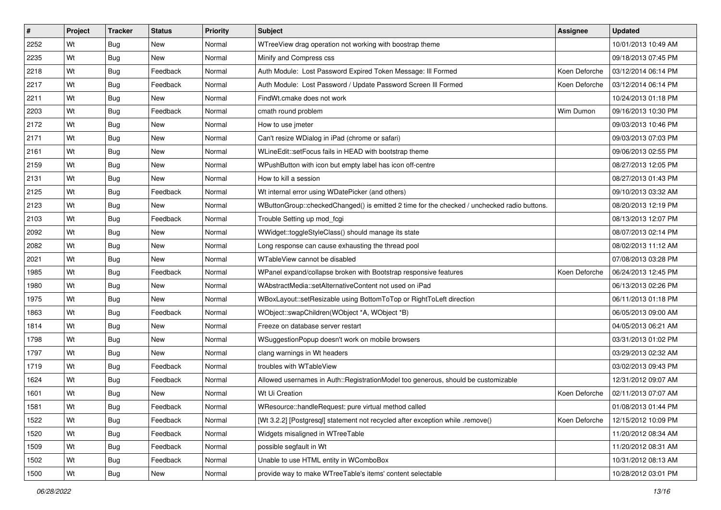| #    | Project | <b>Tracker</b> | <b>Status</b> | <b>Priority</b> | <b>Subject</b>                                                                              | <b>Assignee</b> | <b>Updated</b>      |
|------|---------|----------------|---------------|-----------------|---------------------------------------------------------------------------------------------|-----------------|---------------------|
| 2252 | Wt      | Bug            | New           | Normal          | WTreeView drag operation not working with boostrap theme                                    |                 | 10/01/2013 10:49 AM |
| 2235 | Wt      | Bug            | <b>New</b>    | Normal          | Minify and Compress css                                                                     |                 | 09/18/2013 07:45 PM |
| 2218 | Wt      | Bug            | Feedback      | Normal          | Auth Module: Lost Password Expired Token Message: III Formed                                | Koen Deforche   | 03/12/2014 06:14 PM |
| 2217 | Wt      | <b>Bug</b>     | Feedback      | Normal          | Auth Module: Lost Password / Update Password Screen III Formed                              | Koen Deforche   | 03/12/2014 06:14 PM |
| 2211 | Wt      | Bug            | New           | Normal          | FindWt.cmake does not work                                                                  |                 | 10/24/2013 01:18 PM |
| 2203 | Wt      | <b>Bug</b>     | Feedback      | Normal          | cmath round problem                                                                         | Wim Dumon       | 09/16/2013 10:30 PM |
| 2172 | Wt      | Bug            | New           | Normal          | How to use jmeter                                                                           |                 | 09/03/2013 10:46 PM |
| 2171 | Wt      | Bug            | <b>New</b>    | Normal          | Can't resize WDialog in iPad (chrome or safari)                                             |                 | 09/03/2013 07:03 PM |
| 2161 | Wt      | <b>Bug</b>     | <b>New</b>    | Normal          | WLineEdit::setFocus fails in HEAD with bootstrap theme                                      |                 | 09/06/2013 02:55 PM |
| 2159 | Wt      | Bug            | <b>New</b>    | Normal          | WPushButton with icon but empty label has icon off-centre                                   |                 | 08/27/2013 12:05 PM |
| 2131 | Wt      | <b>Bug</b>     | New           | Normal          | How to kill a session                                                                       |                 | 08/27/2013 01:43 PM |
| 2125 | Wt      | Bug            | Feedback      | Normal          | Wt internal error using WDatePicker (and others)                                            |                 | 09/10/2013 03:32 AM |
| 2123 | Wt      | Bug            | <b>New</b>    | Normal          | WButtonGroup::checkedChanged() is emitted 2 time for the checked / unchecked radio buttons. |                 | 08/20/2013 12:19 PM |
| 2103 | Wt      | Bug            | Feedback      | Normal          | Trouble Setting up mod_fcgi                                                                 |                 | 08/13/2013 12:07 PM |
| 2092 | Wt      | <b>Bug</b>     | <b>New</b>    | Normal          | WWidget::toggleStyleClass() should manage its state                                         |                 | 08/07/2013 02:14 PM |
| 2082 | Wt      | Bug            | New           | Normal          | Long response can cause exhausting the thread pool                                          |                 | 08/02/2013 11:12 AM |
| 2021 | Wt      | <b>Bug</b>     | <b>New</b>    | Normal          | WTableView cannot be disabled                                                               |                 | 07/08/2013 03:28 PM |
| 1985 | Wt      | Bug            | Feedback      | Normal          | WPanel expand/collapse broken with Bootstrap responsive features                            | Koen Deforche   | 06/24/2013 12:45 PM |
| 1980 | Wt      | <b>Bug</b>     | New           | Normal          | WAbstractMedia::setAlternativeContent not used on iPad                                      |                 | 06/13/2013 02:26 PM |
| 1975 | Wt      | <b>Bug</b>     | <b>New</b>    | Normal          | WBoxLayout::setResizable using BottomToTop or RightToLeft direction                         |                 | 06/11/2013 01:18 PM |
| 1863 | Wt      | Bug            | Feedback      | Normal          | WObject::swapChildren(WObject *A, WObject *B)                                               |                 | 06/05/2013 09:00 AM |
| 1814 | Wt      | <b>Bug</b>     | <b>New</b>    | Normal          | Freeze on database server restart                                                           |                 | 04/05/2013 06:21 AM |
| 1798 | Wt      | Bug            | <b>New</b>    | Normal          | WSuggestionPopup doesn't work on mobile browsers                                            |                 | 03/31/2013 01:02 PM |
| 1797 | Wt      | <b>Bug</b>     | New           | Normal          | clang warnings in Wt headers                                                                |                 | 03/29/2013 02:32 AM |
| 1719 | Wt      | <b>Bug</b>     | Feedback      | Normal          | troubles with WTableView                                                                    |                 | 03/02/2013 09:43 PM |
| 1624 | Wt      | Bug            | Feedback      | Normal          | Allowed usernames in Auth::RegistrationModel too generous, should be customizable           |                 | 12/31/2012 09:07 AM |
| 1601 | Wt      | Bug            | New           | Normal          | Wt Ui Creation                                                                              | Koen Deforche   | 02/11/2013 07:07 AM |
| 1581 | Wt      | Bug            | Feedback      | Normal          | WResource::handleRequest: pure virtual method called                                        |                 | 01/08/2013 01:44 PM |
| 1522 | Wt      | Bug            | Feedback      | Normal          | [Wt 3.2.2] [Postgresql] statement not recycled after exception while .remove()              | Koen Deforche   | 12/15/2012 10:09 PM |
| 1520 | Wt      | <b>Bug</b>     | Feedback      | Normal          | Widgets misaligned in WTreeTable                                                            |                 | 11/20/2012 08:34 AM |
| 1509 | Wt      | Bug            | Feedback      | Normal          | possible segfault in Wt                                                                     |                 | 11/20/2012 08:31 AM |
| 1502 | Wt      | <b>Bug</b>     | Feedback      | Normal          | Unable to use HTML entity in WComboBox                                                      |                 | 10/31/2012 08:13 AM |
| 1500 | Wt      | Bug            | New           | Normal          | provide way to make WTreeTable's items' content selectable                                  |                 | 10/28/2012 03:01 PM |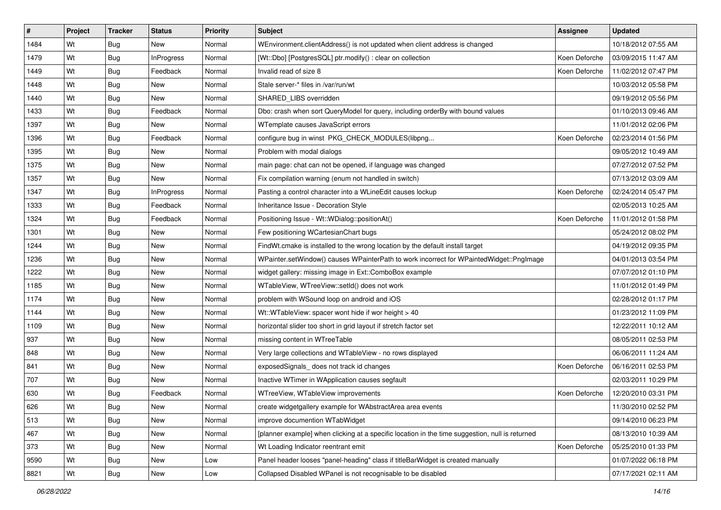| #    | Project | <b>Tracker</b> | <b>Status</b>     | <b>Priority</b> | <b>Subject</b>                                                                                  | Assignee      | <b>Updated</b>      |
|------|---------|----------------|-------------------|-----------------|-------------------------------------------------------------------------------------------------|---------------|---------------------|
| 1484 | Wt      | Bug            | New               | Normal          | WEnvironment.clientAddress() is not updated when client address is changed                      |               | 10/18/2012 07:55 AM |
| 1479 | Wt      | Bug            | <b>InProgress</b> | Normal          | [Wt::Dbo] [PostgresSQL] ptr.modify() : clear on collection                                      | Koen Deforche | 03/09/2015 11:47 AM |
| 1449 | Wt      | Bug            | Feedback          | Normal          | Invalid read of size 8                                                                          | Koen Deforche | 11/02/2012 07:47 PM |
| 1448 | Wt      | Bug            | New               | Normal          | Stale server-* files in /var/run/wt                                                             |               | 10/03/2012 05:58 PM |
| 1440 | Wt      | Bug            | New               | Normal          | SHARED_LIBS overridden                                                                          |               | 09/19/2012 05:56 PM |
| 1433 | Wt      | <b>Bug</b>     | Feedback          | Normal          | Dbo: crash when sort QueryModel for query, including orderBy with bound values                  |               | 01/10/2013 09:46 AM |
| 1397 | Wt      | <b>Bug</b>     | New               | Normal          | WTemplate causes JavaScript errors                                                              |               | 11/01/2012 02:06 PM |
| 1396 | Wt      | Bug            | Feedback          | Normal          | configure bug in winst PKG_CHECK_MODULES(libpng                                                 | Koen Deforche | 02/23/2014 01:56 PM |
| 1395 | Wt      | Bug            | New               | Normal          | Problem with modal dialogs                                                                      |               | 09/05/2012 10:49 AM |
| 1375 | Wt      | <b>Bug</b>     | <b>New</b>        | Normal          | main page: chat can not be opened, if language was changed                                      |               | 07/27/2012 07:52 PM |
| 1357 | Wt      | <b>Bug</b>     | New               | Normal          | Fix compilation warning (enum not handled in switch)                                            |               | 07/13/2012 03:09 AM |
| 1347 | Wt      | <b>Bug</b>     | <b>InProgress</b> | Normal          | Pasting a control character into a WLineEdit causes lockup                                      | Koen Deforche | 02/24/2014 05:47 PM |
| 1333 | Wt      | Bug            | Feedback          | Normal          | Inheritance Issue - Decoration Style                                                            |               | 02/05/2013 10:25 AM |
| 1324 | Wt      | Bug            | Feedback          | Normal          | Positioning Issue - Wt::WDialog::positionAt()                                                   | Koen Deforche | 11/01/2012 01:58 PM |
| 1301 | Wt      | <b>Bug</b>     | New               | Normal          | Few positioning WCartesianChart bugs                                                            |               | 05/24/2012 08:02 PM |
| 1244 | Wt      | <b>Bug</b>     | New               | Normal          | FindWt.cmake is installed to the wrong location by the default install target                   |               | 04/19/2012 09:35 PM |
| 1236 | Wt      | Bug            | New               | Normal          | WPainter.setWindow() causes WPainterPath to work incorrect for WPaintedWidget::PngImage         |               | 04/01/2013 03:54 PM |
| 1222 | Wt      | Bug            | New               | Normal          | widget gallery: missing image in Ext::ComboBox example                                          |               | 07/07/2012 01:10 PM |
| 1185 | Wt      | <b>Bug</b>     | New               | Normal          | WTableView, WTreeView::setId() does not work                                                    |               | 11/01/2012 01:49 PM |
| 1174 | Wt      | Bug            | New               | Normal          | problem with WSound loop on android and iOS                                                     |               | 02/28/2012 01:17 PM |
| 1144 | Wt      | Bug            | New               | Normal          | Wt::WTableView: spacer wont hide if wor height > 40                                             |               | 01/23/2012 11:09 PM |
| 1109 | Wt      | Bug            | New               | Normal          | horizontal slider too short in grid layout if stretch factor set                                |               | 12/22/2011 10:12 AM |
| 937  | Wt      | Bug            | New               | Normal          | missing content in WTreeTable                                                                   |               | 08/05/2011 02:53 PM |
| 848  | Wt      | <b>Bug</b>     | New               | Normal          | Very large collections and WTableView - no rows displayed                                       |               | 06/06/2011 11:24 AM |
| 841  | Wt      | Bug            | New               | Normal          | exposedSignals_does not track id changes                                                        | Koen Deforche | 06/16/2011 02:53 PM |
| 707  | Wt      | Bug            | New               | Normal          | Inactive WTimer in WApplication causes segfault                                                 |               | 02/03/2011 10:29 PM |
| 630  | Wt      | Bug            | Feedback          | Normal          | WTreeView, WTableView improvements                                                              | Koen Deforche | 12/20/2010 03:31 PM |
| 626  | Wt      | <b>Bug</b>     | New               | Normal          | create widgetgallery example for WAbstractArea area events                                      |               | 11/30/2010 02:52 PM |
| 513  | Wt      | Bug            | New               | Normal          | improve documention WTabWidget                                                                  |               | 09/14/2010 06:23 PM |
| 467  | Wt      | <b>Bug</b>     | New               | Normal          | [planner example] when clicking at a specific location in the time suggestion, null is returned |               | 08/13/2010 10:39 AM |
| 373  | Wt      | Bug            | New               | Normal          | Wt Loading Indicator reentrant emit                                                             | Koen Deforche | 05/25/2010 01:33 PM |
| 9590 | Wt      | <b>Bug</b>     | New               | Low             | Panel header looses "panel-heading" class if titleBarWidget is created manually                 |               | 01/07/2022 06:18 PM |
| 8821 | Wt      | Bug            | New               | Low             | Collapsed Disabled WPanel is not recognisable to be disabled                                    |               | 07/17/2021 02:11 AM |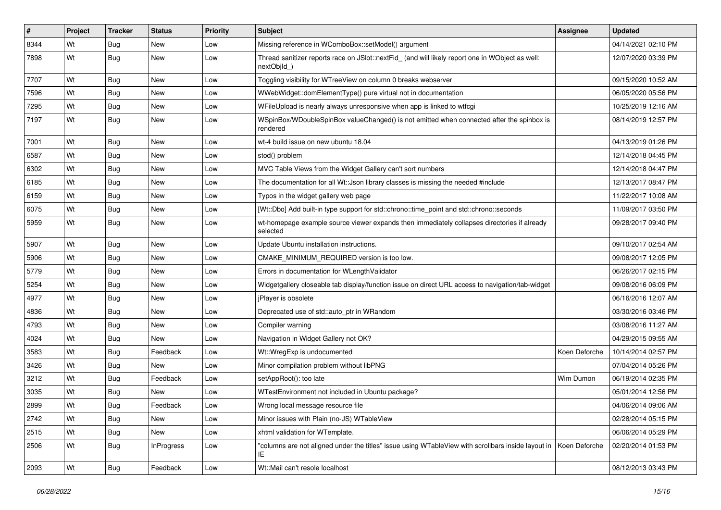| #    | Project | <b>Tracker</b> | <b>Status</b>     | <b>Priority</b> | <b>Subject</b>                                                                                                           | <b>Assignee</b> | <b>Updated</b>      |
|------|---------|----------------|-------------------|-----------------|--------------------------------------------------------------------------------------------------------------------------|-----------------|---------------------|
| 8344 | Wt      | Bug            | New               | Low             | Missing reference in WComboBox::setModel() argument                                                                      |                 | 04/14/2021 02:10 PM |
| 7898 | Wt      | Bug            | New               | Low             | Thread sanitizer reports race on JSlot::nextFid_ (and will likely report one in WObject as well:<br>nextObjId )          |                 | 12/07/2020 03:39 PM |
| 7707 | Wt      | Bug            | <b>New</b>        | Low             | Toggling visibility for WTreeView on column 0 breaks webserver                                                           |                 | 09/15/2020 10:52 AM |
| 7596 | Wt      | Bug            | <b>New</b>        | Low             | WWebWidget::domElementType() pure virtual not in documentation                                                           |                 | 06/05/2020 05:56 PM |
| 7295 | Wt      | Bug            | <b>New</b>        | Low             | WFileUpload is nearly always unresponsive when app is linked to wtfcgi                                                   |                 | 10/25/2019 12:16 AM |
| 7197 | Wt      | Bug            | New               | Low             | WSpinBox/WDoubleSpinBox valueChanged() is not emitted when connected after the spinbox is<br>rendered                    |                 | 08/14/2019 12:57 PM |
| 7001 | Wt      | Bug            | <b>New</b>        | Low             | wt-4 build issue on new ubuntu 18.04                                                                                     |                 | 04/13/2019 01:26 PM |
| 6587 | Wt      | Bug            | <b>New</b>        | Low             | stod() problem                                                                                                           |                 | 12/14/2018 04:45 PM |
| 6302 | Wt      | <b>Bug</b>     | New               | Low             | MVC Table Views from the Widget Gallery can't sort numbers                                                               |                 | 12/14/2018 04:47 PM |
| 6185 | Wt      | Bug            | <b>New</b>        | Low             | The documentation for all Wt:: Json library classes is missing the needed #include                                       |                 | 12/13/2017 08:47 PM |
| 6159 | Wt      | Bug            | <b>New</b>        | Low             | Typos in the widget gallery web page                                                                                     |                 | 11/22/2017 10:08 AM |
| 6075 | Wt      | <b>Bug</b>     | New               | Low             | [Wt::Dbo] Add built-in type support for std::chrono::time_point and std::chrono::seconds                                 |                 | 11/09/2017 03:50 PM |
| 5959 | Wt      | Bug            | New               | Low             | wt-homepage example source viewer expands then immediately collapses directories if already<br>selected                  |                 | 09/28/2017 09:40 PM |
| 5907 | Wt      | Bug            | <b>New</b>        | Low             | Update Ubuntu installation instructions.                                                                                 |                 | 09/10/2017 02:54 AM |
| 5906 | Wt      | Bug            | <b>New</b>        | Low             | CMAKE MINIMUM REQUIRED version is too low.                                                                               |                 | 09/08/2017 12:05 PM |
| 5779 | Wt      | Bug            | New               | Low             | Errors in documentation for WLengthValidator                                                                             |                 | 06/26/2017 02:15 PM |
| 5254 | Wt      | Bug            | <b>New</b>        | Low             | Widgetgallery closeable tab display/function issue on direct URL access to navigation/tab-widget                         |                 | 09/08/2016 06:09 PM |
| 4977 | Wt      | Bug            | <b>New</b>        | Low             | jPlayer is obsolete                                                                                                      |                 | 06/16/2016 12:07 AM |
| 4836 | Wt      | Bug            | New               | Low             | Deprecated use of std::auto_ptr in WRandom                                                                               |                 | 03/30/2016 03:46 PM |
| 4793 | Wt      | Bug            | <b>New</b>        | Low             | Compiler warning                                                                                                         |                 | 03/08/2016 11:27 AM |
| 4024 | Wt      | Bug            | New               | Low             | Navigation in Widget Gallery not OK?                                                                                     |                 | 04/29/2015 09:55 AM |
| 3583 | Wt      | Bug            | Feedback          | Low             | Wt::WregExp is undocumented                                                                                              | Koen Deforche   | 10/14/2014 02:57 PM |
| 3426 | Wt      | Bug            | <b>New</b>        | Low             | Minor compilation problem without libPNG                                                                                 |                 | 07/04/2014 05:26 PM |
| 3212 | Wt      | Bug            | Feedback          | Low             | setAppRoot(): too late                                                                                                   | Wim Dumon       | 06/19/2014 02:35 PM |
| 3035 | Wt      | Bug            | New               | Low             | WTestEnvironment not included in Ubuntu package?                                                                         |                 | 05/01/2014 12:56 PM |
| 2899 | Wt      | Bug            | Feedback          | Low             | Wrong local message resource file                                                                                        |                 | 04/06/2014 09:06 AM |
| 2742 | Wt      | <b>Bug</b>     | New               | Low             | Minor issues with Plain (no-JS) WTableView                                                                               |                 | 02/28/2014 05:15 PM |
| 2515 | Wt      | <b>Bug</b>     | New               | Low             | xhtml validation for WTemplate.                                                                                          |                 | 06/06/2014 05:29 PM |
| 2506 | Wt      | Bug            | <b>InProgress</b> | Low             | "columns are not aligned under the titles" issue using WTableView with scrollbars inside layout in   Koen Deforche<br>IE |                 | 02/20/2014 01:53 PM |
| 2093 | Wt      | <b>Bug</b>     | Feedback          | Low             | Wt::Mail can't resole localhost                                                                                          |                 | 08/12/2013 03:43 PM |